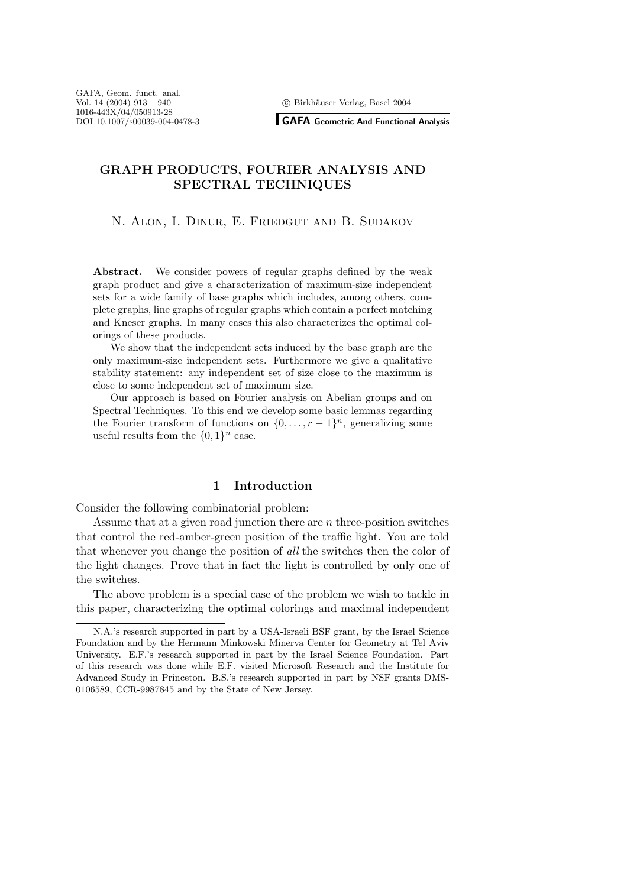<sup>c</sup> Birkh¨auser Verlag, Basel 2004

**GAFA Geometric And Functional Analysis**

# **GRAPH PRODUCTS, FOURIER ANALYSIS AND SPECTRAL TECHNIQUES**

N. Alon, I. Dinur, E. Friedgut and B. Sudakov

Abstract. We consider powers of regular graphs defined by the weak graph product and give a characterization of maximum-size independent sets for a wide family of base graphs which includes, among others, complete graphs, line graphs of regular graphs which contain a perfect matching and Kneser graphs. In many cases this also characterizes the optimal colorings of these products.

We show that the independent sets induced by the base graph are the only maximum-size independent sets. Furthermore we give a qualitative stability statement: any independent set of size close to the maximum is close to some independent set of maximum size.

Our approach is based on Fourier analysis on Abelian groups and on Spectral Techniques. To this end we develop some basic lemmas regarding the Fourier transform of functions on  $\{0,\ldots,r-1\}^n$ , generalizing some useful results from the  $\{0, 1\}^n$  case.

# **1 Introduction**

Consider the following combinatorial problem:

Assume that at a given road junction there are n three-position switches that control the red-amber-green position of the traffic light. You are told that whenever you change the position of *all* the switches then the color of the light changes. Prove that in fact the light is controlled by only one of the switches.

The above problem is a special case of the problem we wish to tackle in this paper, characterizing the optimal colorings and maximal independent

N.A.'s research supported in part by a USA-Israeli BSF grant, by the Israel Science Foundation and by the Hermann Minkowski Minerva Center for Geometry at Tel Aviv University. E.F.'s research supported in part by the Israel Science Foundation. Part of this research was done while E.F. visited Microsoft Research and the Institute for Advanced Study in Princeton. B.S.'s research supported in part by NSF grants DMS-0106589, CCR-9987845 and by the State of New Jersey.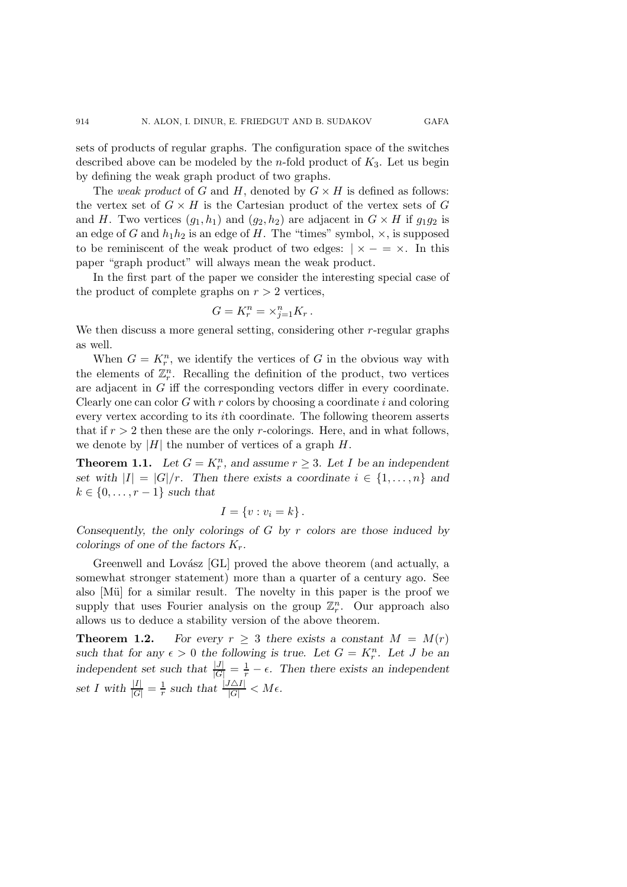sets of products of regular graphs. The configuration space of the switches described above can be modeled by the *n*-fold product of  $K_3$ . Let us begin by defining the weak graph product of two graphs.

The *weak product* of G and H, denoted by  $G \times H$  is defined as follows: the vertex set of  $G \times H$  is the Cartesian product of the vertex sets of G and H. Two vertices  $(g_1, h_1)$  and  $(g_2, h_2)$  are adjacent in  $G \times H$  if  $g_1g_2$  is an edge of G and  $h_1h_2$  is an edge of H. The "times" symbol,  $\times$ , is supposed to be reminiscent of the weak product of two edges:  $\vert x-z \rangle$ . In this paper "graph product" will always mean the weak product.

In the first part of the paper we consider the interesting special case of the product of complete graphs on  $r > 2$  vertices,

$$
G = K_r^n = \times_{j=1}^n K_r \, .
$$

We then discuss a more general setting, considering other r-regular graphs as well.

When  $G = K_r^n$ , we identify the vertices of G in the obvious way with the elements of  $\mathbb{Z}_r^n$ . Recalling the definition of the product, two vertices are adjacent in G iff the corresponding vectors differ in every coordinate. Clearly one can color  $G$  with  $r$  colors by choosing a coordinate  $i$  and coloring every vertex according to its ith coordinate. The following theorem asserts that if  $r > 2$  then these are the only r-colorings. Here, and in what follows, we denote by  $|H|$  the number of vertices of a graph  $H$ .

**Theorem 1.1.** Let  $G = K_r^n$ , and assume  $r \geq 3$ . Let I be an independent *set with*  $|I| = |G|/r$ . Then there exists a coordinate  $i \in \{1, \ldots, n\}$  and  $k \in \{0, \ldots, r-1\}$  *such that* 

$$
I = \{v : v_i = k\}.
$$

*Consequently, the only colorings of* G *by* r *colors are those induced by colorings of one of the factors* Kr*.*

Greenwell and Lovász [GL] proved the above theorem (and actually, a somewhat stronger statement) more than a quarter of a century ago. See also [Mü] for a similar result. The novelty in this paper is the proof we supply that uses Fourier analysis on the group  $\mathbb{Z}_r^n$ . Our approach also allows us to deduce a stability version of the above theorem.

**Theorem 1.2.** *For every*  $r \geq 3$  *there exists a constant*  $M = M(r)$ such that for any  $\epsilon > 0$  the following is true. Let  $G = K_r^n$ . Let J be an *independent set such that*  $\frac{|J|}{|G|} = \frac{1}{r} - \epsilon$ . Then there exists an independent set I with  $\frac{|I|}{|G|} = \frac{1}{r}$  such that  $\frac{|J\Delta I|}{|G|} < M\epsilon$ .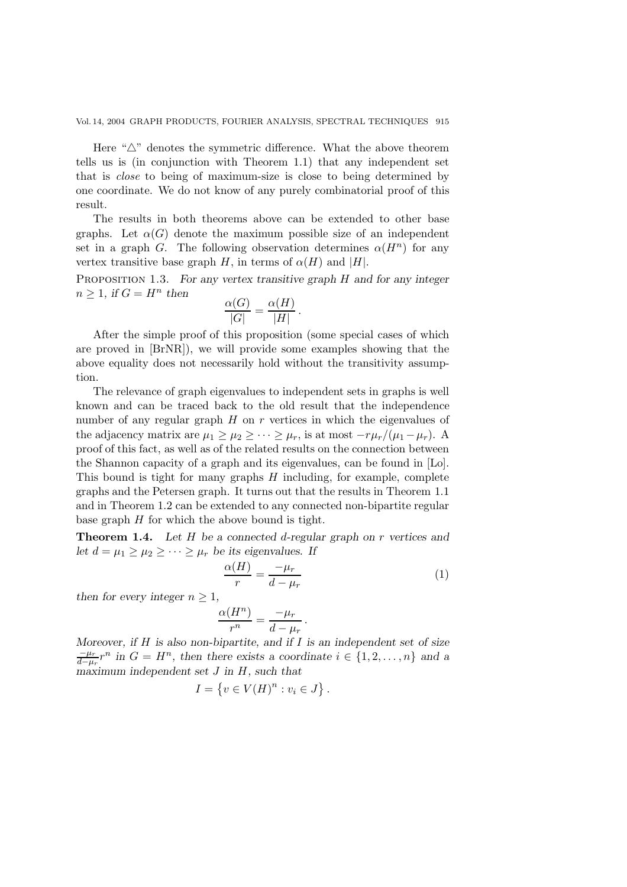Here " $\triangle$ " denotes the symmetric difference. What the above theorem tells us is (in conjunction with Theorem 1.1) that any independent set that is *close* to being of maximum-size is close to being determined by one coordinate. We do not know of any purely combinatorial proof of this result.

The results in both theorems above can be extended to other base graphs. Let  $\alpha(G)$  denote the maximum possible size of an independent set in a graph G. The following observation determines  $\alpha(H^n)$  for any vertex transitive base graph H, in terms of  $\alpha(H)$  and |H|.

Proposition 1.3. *For any vertex transitive graph* H *and for any integer*  $n \geq 1$ , if  $G = H^n$  then  $α(1)$ 

$$
\frac{\alpha(G)}{|G|} = \frac{\alpha(H)}{|H|}.
$$

After the simple proof of this proposition (some special cases of which are proved in [BrNR]), we will provide some examples showing that the above equality does not necessarily hold without the transitivity assumption.

The relevance of graph eigenvalues to independent sets in graphs is well known and can be traced back to the old result that the independence number of any regular graph  $H$  on  $r$  vertices in which the eigenvalues of the adjacency matrix are  $\mu_1 \geq \mu_2 \geq \cdots \geq \mu_r$ , is at most  $-r\mu_r/(\mu_1 - \mu_r)$ . A proof of this fact, as well as of the related results on the connection between the Shannon capacity of a graph and its eigenvalues, can be found in [Lo]. This bound is tight for many graphs  $H$  including, for example, complete graphs and the Petersen graph. It turns out that the results in Theorem 1.1 and in Theorem 1.2 can be extended to any connected non-bipartite regular base graph  $H$  for which the above bound is tight.

**Theorem 1.4.** *Let* H *be a connected* d*-regular graph on* r *vertices and let*  $d = \mu_1 \geq \mu_2 \geq \cdots \geq \mu_r$  *be its eigenvalues.* If

$$
\frac{\alpha(H)}{r} = \frac{-\mu_r}{d - \mu_r} \tag{1}
$$

*then for every integer*  $n \geq 1$ *,* 

$$
\frac{\alpha(H^n)}{r^n} = \frac{-\mu_r}{d - \mu_r} \, .
$$

*Moreover, if* H *is also non-bipartite, and if* I *is an independent set of size*  $\frac{-\mu_r}{d-\mu_r}r^n$  in  $G = H^n$ , then there exists a coordinate  $i \in \{1, 2, ..., n\}$  and a *maximum independent set* J *in* H*, such that*

$$
I = \{ v \in V(H)^n : v_i \in J \}.
$$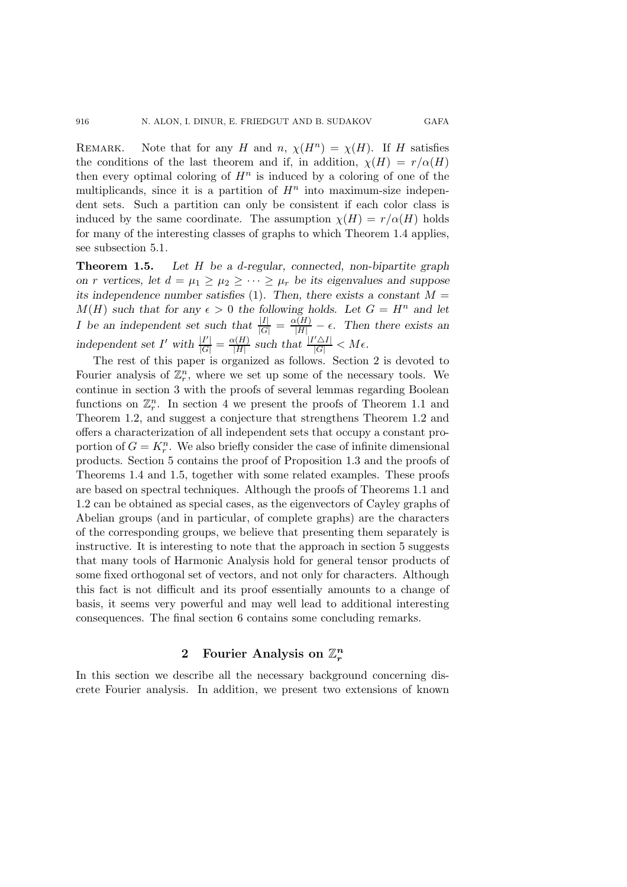REMARK. Note that for any H and n,  $\chi(H^n) = \chi(H)$ . If H satisfies the conditions of the last theorem and if, in addition,  $\chi(H) = r/\alpha(H)$ then every optimal coloring of  $H^n$  is induced by a coloring of one of the multiplicands, since it is a partition of  $H<sup>n</sup>$  into maximum-size independent sets. Such a partition can only be consistent if each color class is induced by the same coordinate. The assumption  $\chi(H) = r/\alpha(H)$  holds for many of the interesting classes of graphs to which Theorem 1.4 applies, see subsection 5.1.

**Theorem 1.5.** *Let* H *be a* d*-regular, connected, non-bipartite graph on r vertices, let*  $d = \mu_1 \geq \mu_2 \geq \cdots \geq \mu_r$  *be its eigenvalues and suppose its independence number satisfies* (1)*. Then, there exists a constant* M =  $M(H)$  *such that for any*  $\epsilon > 0$  *the following holds. Let*  $G = H^n$  *and let I* be an independent set such that  $\frac{|I|}{|G|} = \frac{\alpha(H)}{|H|} - \epsilon$ . Then there exists an independent set I' with  $\frac{|I'|}{|G|} = \frac{\alpha(H)}{|H|}$  such that  $\frac{|I' \triangle I|}{|G|} < M\epsilon$ .

The rest of this paper is organized as follows. Section 2 is devoted to Fourier analysis of  $\mathbb{Z}_r^n$ , where we set up some of the necessary tools. We continue in section 3 with the proofs of several lemmas regarding Boolean functions on  $\mathbb{Z}_r^n$ . In section 4 we present the proofs of Theorem 1.1 and Theorem 1.2, and suggest a conjecture that strengthens Theorem 1.2 and offers a characterization of all independent sets that occupy a constant proportion of  $G = K_r^n$ . We also briefly consider the case of infinite dimensional products. Section 5 contains the proof of Proposition 1.3 and the proofs of Theorems 1.4 and 1.5, together with some related examples. These proofs are based on spectral techniques. Although the proofs of Theorems 1.1 and 1.2 can be obtained as special cases, as the eigenvectors of Cayley graphs of Abelian groups (and in particular, of complete graphs) are the characters of the corresponding groups, we believe that presenting them separately is instructive. It is interesting to note that the approach in section 5 suggests that many tools of Harmonic Analysis hold for general tensor products of some fixed orthogonal set of vectors, and not only for characters. Although this fact is not difficult and its proof essentially amounts to a change of basis, it seems very powerful and may well lead to additional interesting consequences. The final section 6 contains some concluding remarks.

# 2 Fourier Analysis on  $\mathbb{Z}_r^n$

In this section we describe all the necessary background concerning discrete Fourier analysis. In addition, we present two extensions of known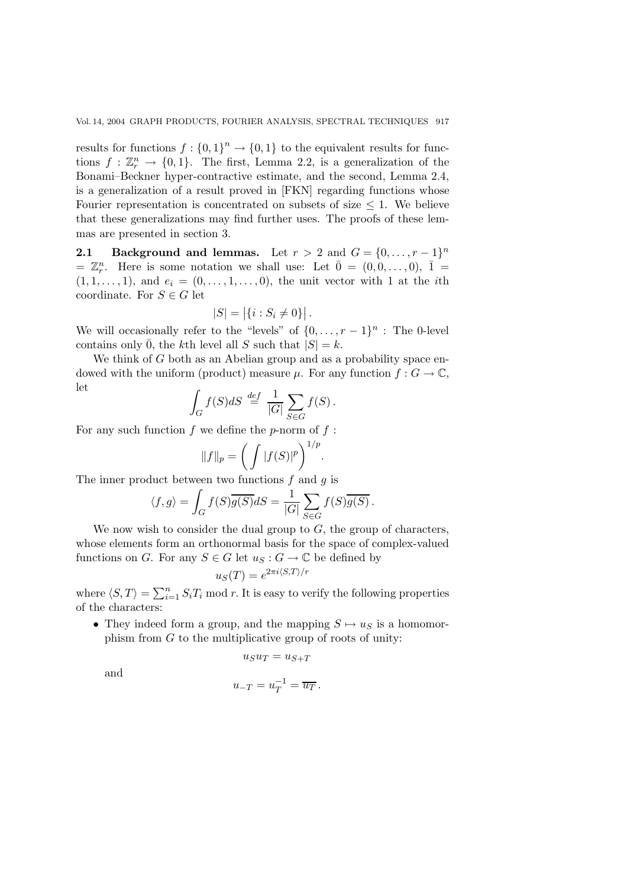results for functions  $f : \{0,1\}^n \to \{0,1\}$  to the equivalent results for functions  $f : \mathbb{Z}_r^n \to \{0,1\}$ . The first, Lemma 2.2, is a generalization of the Bonami–Beckner hyper-contractive estimate, and the second, Lemma 2.4, is a generalization of a result proved in [FKN] regarding functions whose Fourier representation is concentrated on subsets of size  $\leq$  1. We believe that these generalizations may find further uses. The proofs of these lemmas are presented in section 3.

**2.1 Background and lemmas.** Let  $r > 2$  and  $G = \{0, \ldots, r-1\}^n$  $\mathbb{Z}_r^n$ . Here is some notation we shall use: Let  $\overline{0} = (0,0,\ldots,0), \overline{1} =$  $(1, 1, \ldots, 1)$ , and  $e_i = (0, \ldots, 1, \ldots, 0)$ , the unit vector with 1 at the *i*th coordinate. For  $S \in G$  let

$$
|S| = |\{i : S_i \neq 0\}|.
$$

We will occasionally refer to the "levels" of  $\{0,\ldots,r-1\}^n$ : The 0-level contains only  $\overline{0}$ , the kth level all S such that  $|S| = k$ .

We think of  $G$  both as an Abelian group and as a probability space endowed with the uniform (product) measure  $\mu$ . For any function  $f: G \to \mathbb{C}$ , let

$$
\int_G f(S)dS \stackrel{def}{=} \frac{1}{|G|} \sum_{S \in G} f(S).
$$

For any such function  $f$  we define the p-norm of  $f$ :

$$
||f||_p = \left(\int |f(S)|^p\right)^{1/p}
$$

.

The inner product between two functions  $f$  and  $g$  is

$$
\langle f, g \rangle = \int_G f(S) \overline{g(S)} dS = \frac{1}{|G|} \sum_{S \in G} f(S) \overline{g(S)}.
$$

We now wish to consider the dual group to  $G$ , the group of characters, whose elements form an orthonormal basis for the space of complex-valued functions on G. For any  $S \in G$  let  $u_S : G \to \mathbb{C}$  be defined by

$$
u_S(T) = e^{2\pi i \langle S, T \rangle/r}
$$

where  $\langle S, T \rangle = \sum_{i=1}^{n} S_i T_i \text{ mod } r$ . It is easy to verify the following properties of the characters:

• They indeed form a group, and the mapping  $S \mapsto u_S$  is a homomorphism from  $G$  to the multiplicative group of roots of unity:

$$
u_S u_T = u_{S+T}
$$

and

$$
u_{-T} = u_T^{-1} = \overline{u_T}.
$$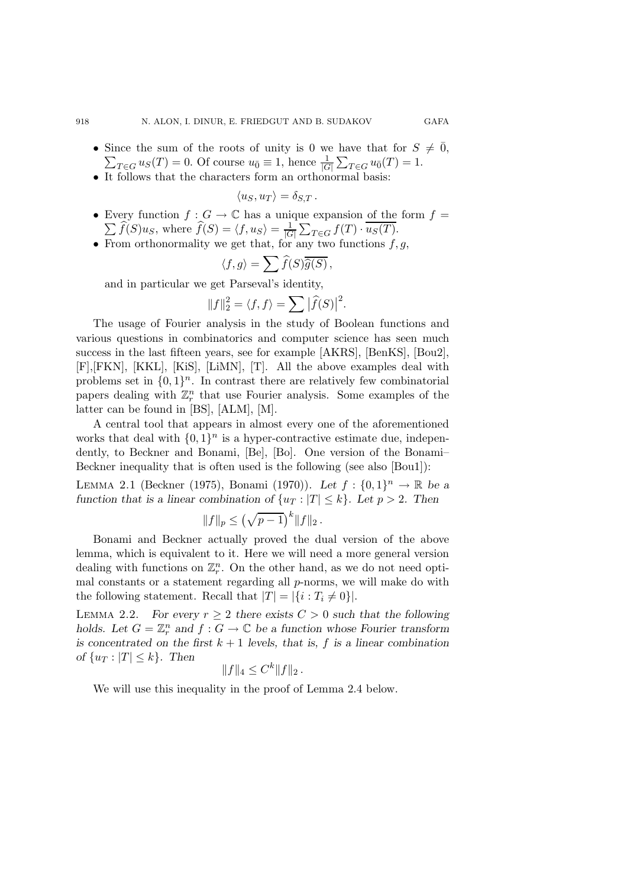- Since the sum of the roots of unity is 0 we have that for  $S \neq \overline{0}$ ,  $\sum_{T \in G} u_S(T) = 0$ . Of course  $u_{\overline{0}} \equiv 1$ , hence  $\frac{1}{|G|} \sum_{T \in G} u_{\overline{0}}(T) = 1$ .
- It follows that the characters form an orthonormal basis:

$$
\langle u_S, u_T \rangle = \delta_{S,T} .
$$

- Every function  $f: G \to \mathbb{C}$  has a unique expansion of the form  $f =$  $\sum f(S)u_S$ , where  $f(S) = \langle f, u_S \rangle = \frac{1}{|G|} \sum_{T \in G} f(T) \cdot u_S(T)$ .
- From orthonormality we get that, for any two functions  $f, g$ ,

$$
\langle f, g \rangle = \sum \widehat{f}(S) \overline{\widehat{g}(S)},
$$

and in particular we get Parseval's identity,

$$
||f||_2^2 = \langle f, f \rangle = \sum |\widehat{f}(S)|^2.
$$

The usage of Fourier analysis in the study of Boolean functions and various questions in combinatorics and computer science has seen much success in the last fifteen years, see for example [AKRS], [BenKS], [Bou2], [F],[FKN], [KKL], [KiS], [LiMN], [T]. All the above examples deal with problems set in  $\{0, 1\}^n$ . In contrast there are relatively few combinatorial papers dealing with  $\mathbb{Z}_r^n$  that use Fourier analysis. Some examples of the latter can be found in [BS], [ALM], [M].

A central tool that appears in almost every one of the aforementioned works that deal with  $\{0, 1\}^n$  is a hyper-contractive estimate due, independently, to Beckner and Bonami, [Be], [Bo]. One version of the Bonami– Beckner inequality that is often used is the following (see also [Bou1]):

LEMMA 2.1 (Beckner (1975), Bonami (1970)). Let  $f: \{0,1\}^n \to \mathbb{R}$  be a *function that is a linear combination of*  $\{u_T : |T| \le k\}$ *. Let*  $p > 2$ *. Then* 

$$
||f||_p \le (\sqrt{p-1})^k ||f||_2.
$$

Bonami and Beckner actually proved the dual version of the above lemma, which is equivalent to it. Here we will need a more general version dealing with functions on  $\mathbb{Z}_r^n$ . On the other hand, as we do not need optimal constants or a statement regarding all p-norms, we will make do with the following statement. Recall that  $|T| = |\{i : T_i \neq 0\}|$ .

LEMMA 2.2. *For every*  $r \geq 2$  *there exists*  $C > 0$  *such that the following holds.* Let  $G = \mathbb{Z}_r^n$  and  $f : G \to \mathbb{C}$  be a function whose Fourier transform *is concentrated on the first*  $k + 1$  *levels, that is,*  $f$  *is a linear combination of*  $\{u_T : |T| \leq k\}$ *. Then* 

$$
||f||_4 \leq C^k ||f||_2.
$$

We will use this inequality in the proof of Lemma 2.4 below.

918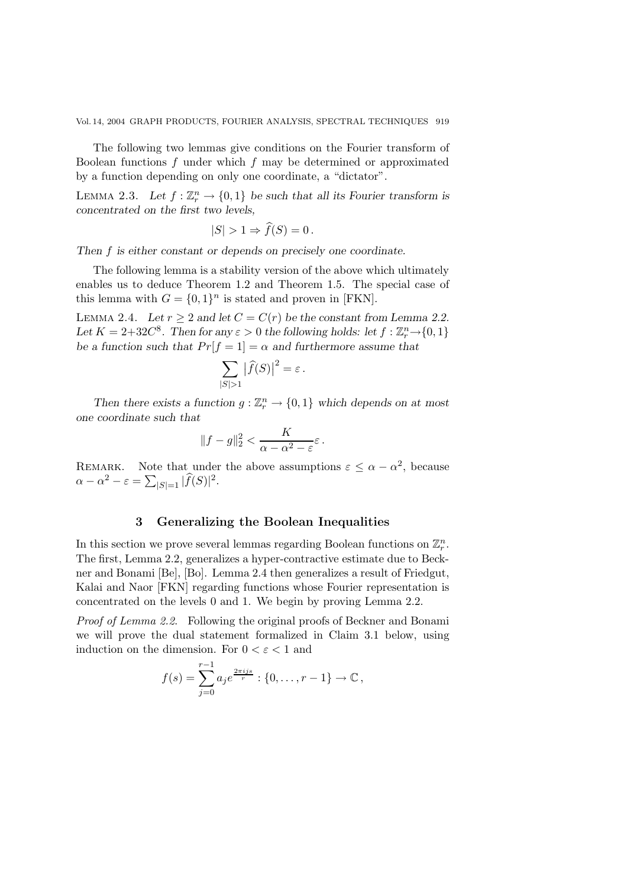The following two lemmas give conditions on the Fourier transform of Boolean functions  $f$  under which  $f$  may be determined or approximated by a function depending on only one coordinate, a "dictator".

LEMMA 2.3. Let  $f : \mathbb{Z}_r^n \to \{0,1\}$  be such that all its Fourier transform is *concentrated on the first two levels,*

$$
|S| > 1 \Rightarrow \hat{f}(S) = 0 \, .
$$

*Then* f *is either constant or depends on precisely one coordinate.*

The following lemma is a stability version of the above which ultimately enables us to deduce Theorem 1.2 and Theorem 1.5. The special case of this lemma with  $G = \{0, 1\}^n$  is stated and proven in [FKN].

LEMMA 2.4. *Let*  $r \geq 2$  *and let*  $C = C(r)$  *be the constant from Lemma 2.2.* Let  $K = 2+32C^8$ . Then for any  $\varepsilon > 0$  the following holds: let  $f : \mathbb{Z}_r^n \to \{0,1\}$ *be a function such that*  $Pr[f = 1] = \alpha$  *and furthermore assume that* 

$$
\sum_{|S|>1} |\widehat{f}(S)|^2 = \varepsilon.
$$

*Then there exists a function*  $g: \mathbb{Z}_r^n \to \{0,1\}$  which depends on at most *one coordinate such that*

$$
||f-g||_2^2 < \frac{K}{\alpha - \alpha^2 - \varepsilon} \varepsilon.
$$

REMARK. Note that under the above assumptions  $\varepsilon \leq \alpha - \alpha^2$ , because  $\alpha - \alpha^2 - \varepsilon = \sum_{|S|=1} |f(S)|^2.$ 

## **3 Generalizing the Boolean Inequalities**

In this section we prove several lemmas regarding Boolean functions on  $\mathbb{Z}_r^n$ . The first, Lemma 2.2, generalizes a hyper-contractive estimate due to Beckner and Bonami [Be], [Bo]. Lemma 2.4 then generalizes a result of Friedgut, Kalai and Naor [FKN] regarding functions whose Fourier representation is concentrated on the levels 0 and 1. We begin by proving Lemma 2.2.

*Proof of Lemma 2.2*. Following the original proofs of Beckner and Bonami we will prove the dual statement formalized in Claim 3.1 below, using induction on the dimension. For  $0 < \varepsilon < 1$  and

$$
f(s) = \sum_{j=0}^{r-1} a_j e^{\frac{2\pi i js}{r}} : \{0, \ldots, r-1\} \to \mathbb{C},
$$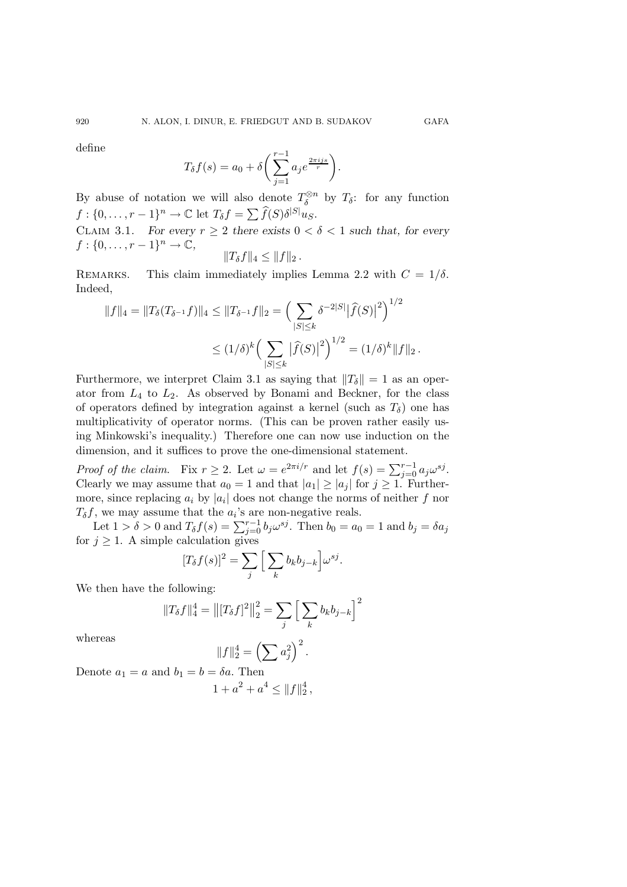define

$$
T_{\delta}f(s) = a_0 + \delta \bigg(\sum_{j=1}^{r-1} a_j e^{\frac{2\pi i j s}{r}}\bigg).
$$

By abuse of notation we will also denote  $T_{\delta}^{\otimes n}$  by  $T_{\delta}$ : for any function  $f: \{0, \ldots, r-1\}^n \to \mathbb{C}$  let  $T_{\delta} f = \sum \widehat{f}(S) \delta^{|S|} u_S$ .

CLAIM 3.1. *For every*  $r \geq 2$  *there exists*  $0 < \delta < 1$  *such that, for every*  $f: \{0, \ldots, r-1\}^n \to \mathbb{C},$ <br>REMARKS. This claim

$$
||T_\delta f||_4 \leq ||f||_2.
$$

This claim immediately implies Lemma 2.2 with  $C = 1/\delta$ . Indeed,

$$
||f||_4 = ||T_\delta(T_{\delta^{-1}}f)||_4 \le ||T_{\delta^{-1}}f||_2 = \left(\sum_{|S| \le k} \delta^{-2|S|} |\hat{f}(S)|^2\right)^{1/2}
$$
  

$$
\le (1/\delta)^k \left(\sum_{|S| \le k} |\hat{f}(S)|^2\right)^{1/2} = (1/\delta)^k ||f||_2.
$$

Furthermore, we interpret Claim 3.1 as saying that  $||T_{\delta}|| = 1$  as an operator from  $L_4$  to  $L_2$ . As observed by Bonami and Beckner, for the class of operators defined by integration against a kernel (such as  $T_\delta$ ) one has multiplicativity of operator norms. (This can be proven rather easily using Minkowski's inequality.) Therefore one can now use induction on the dimension, and it suffices to prove the one-dimensional statement.

*Proof of the claim.* Fix  $r \geq 2$ . Let  $\omega = e^{2\pi i/r}$  and let  $f(s) = \sum_{j=0}^{r-1} a_j \omega^{sj}$ .<br>Clearly we may assume that  $a_0 = 1$  and that  $|a_1| > |a_1|$  for  $i > 1$ . Further Clearly we may assume that  $a_0 = 1$  and that  $|a_1| \ge |a_j|$  for  $j \ge 1$ . Furthermore, since replacing  $a_i$  by  $|a_i|$  does not change the norms of neither f nor  $T_{\delta}f$ , we may assume that the  $a_i$ 's are non-negative reals.

Let  $1 > \delta > 0$  and  $T_{\delta} f(s) = \sum_{j=0}^{r-1} b_j \omega^{sj}$ . Then  $b_0 = a_0 = 1$  and  $b_j = \delta a_j$ <br> $j \ge 1$ . A simple calculation gives for  $j \geq 1$ . A simple calculation gives

$$
[T_{\delta}f(s)]^2 = \sum_{j} \left[ \sum_{k} b_{k} b_{j-k} \right] \omega^{sj}.
$$

We then have the following:

$$
||T_{\delta}f||_4^4 = ||[T_{\delta}f]^2||_2^2 = \sum_j \left[\sum_k b_k b_{j-k}\right]^2
$$

whereas

$$
||f||_2^4 = \left(\sum a_j^2\right)^2.
$$

Denote  $a_1 = a$  and  $b_1 = b = \delta a$ . Then  $1 + a^2 + a^4 \leq ||f||_2^4$ ,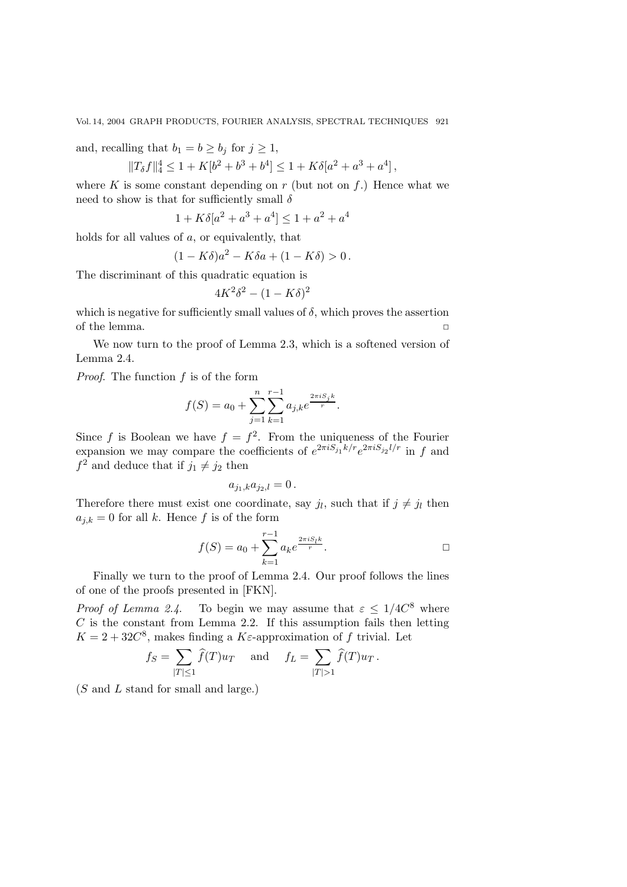and, recalling that  $b_1 = b \geq b_j$  for  $j \geq 1$ ,

$$
||T_{\delta}f||_4^4 \le 1 + K[b^2 + b^3 + b^4] \le 1 + K\delta[a^2 + a^3 + a^4],
$$

where K is some constant depending on  $r$  (but not on  $f$ .) Hence what we need to show is that for sufficiently small  $\delta$ 

$$
1 + K\delta[a^2 + a^3 + a^4] \le 1 + a^2 + a^4
$$

holds for all values of a, or equivalently, that

$$
(1 - K\delta)a^2 - K\delta a + (1 - K\delta) > 0.
$$

The discriminant of this quadratic equation is

$$
4K^2\delta^2 - (1 - K\delta)^2
$$

which is negative for sufficiently small values of  $\delta$ , which proves the assertion of the lemma.  $\Box$ 

We now turn to the proof of Lemma 2.3, which is a softened version of Lemma 2.4.

*Proof*. The function f is of the form

$$
f(S) = a_0 + \sum_{j=1}^{n} \sum_{k=1}^{r-1} a_{j,k} e^{\frac{2\pi i S_j k}{r}}.
$$

Since f is Boolean we have  $f = f^2$ . From the uniqueness of the Fourier expansion we may compare the coefficients of  $e^{2\pi i S_{j_1}k/r}e^{2\pi i S_{j_2}l/r}$  in f and  $f^2$  and deduce that if  $j_1 \neq j_2$  then

$$
a_{j_1,k}a_{j_2,l}=0.
$$

Therefore there must exist one coordinate, say  $j_l$ , such that if  $j \neq j_l$  then  $a_{j,k} = 0$  for all k. Hence f is of the form

$$
f(S) = a_0 + \sum_{k=1}^{r-1} a_k e^{\frac{2\pi i S_l k}{r}}.
$$

Finally we turn to the proof of Lemma 2.4. Our proof follows the lines of one of the proofs presented in [FKN].

*Proof of Lemma 2.4*. To begin we may assume that  $\varepsilon \leq 1/4C^8$  where  $C$  is the constant from Lemma 2.2. If this assumption fails then letting  $K = 2 + 32C<sup>8</sup>$ , makes finding a K $\varepsilon$ -approximation of f trivial. Let

$$
f_S = \sum_{|T| \le 1} \widehat{f}(T) u_T \quad \text{and} \quad f_L = \sum_{|T| > 1} \widehat{f}(T) u_T.
$$

 $(S \text{ and } L \text{ stand for small and large.})$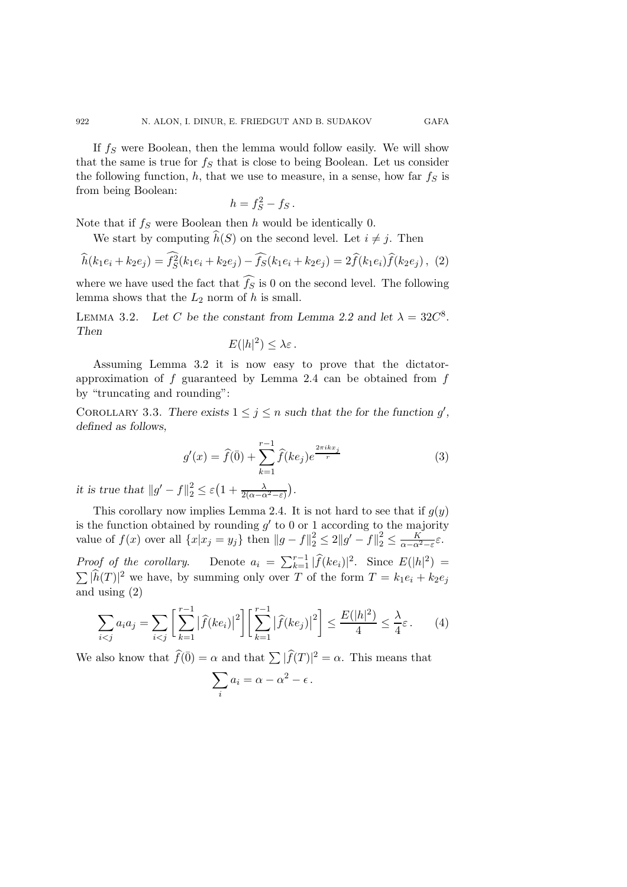If  $f_S$  were Boolean, then the lemma would follow easily. We will show that the same is true for  $f_S$  that is close to being Boolean. Let us consider the following function,  $h$ , that we use to measure, in a sense, how far  $f<sub>S</sub>$  is from being Boolean:

$$
h = f_S^2 - f_S.
$$

Note that if  $f<sub>S</sub>$  were Boolean then h would be identically 0.

We start by computing  $h(S)$  on the second level. Let  $i \neq j$ . Then

$$
\widehat{h}(k_1e_i + k_2e_j) = \widehat{f_S^2}(k_1e_i + k_2e_j) - \widehat{f_S}(k_1e_i + k_2e_j) = 2\widehat{f}(k_1e_i)\widehat{f}(k_2e_j), \tag{2}
$$

where we have used the fact that  $f_S$  is 0 on the second level. The following lemma shows that the  $L_2$  norm of h is small.

LEMMA 3.2. Let C be the constant from Lemma 2.2 and let  $\lambda = 32C^8$ . *Then*

$$
E(|h|^2) \leq \lambda \varepsilon.
$$

Assuming Lemma 3.2 it is now easy to prove that the dictatorapproximation of  $f$  guaranteed by Lemma 2.4 can be obtained from  $f$ by "truncating and rounding":

COROLLARY 3.3. There exists  $1 \leq j \leq n$  such that the for the function  $g'$ , *defined as follows,*

$$
g'(x) = \hat{f}(\bar{0}) + \sum_{k=1}^{r-1} \hat{f}(ke_j)e^{\frac{2\pi ikx_j}{r}}
$$
 (3)

*it is true that*  $||g' - f||_2^2 \le \varepsilon \left(1 + \frac{\lambda}{2(\alpha - \alpha^2 - \varepsilon)}\right)$ .

This corollary now implies Lemma 2.4. It is not hard to see that if  $q(y)$ is the function obtained by rounding  $q'$  to 0 or 1 according to the majority value of  $f(x)$  over all  $\{x|x_j = y_j\}$  then  $||g - f||_2^2 \le 2||g' - f||_2^2 \le \frac{K}{\alpha - \alpha^2 - \varepsilon} \varepsilon$ . *Proof of the corollary.* Denote  $a_i = \sum_{k=1}^{r-1} |\widehat{f}(ke_i)|^2$ . Since  $E(|h|^2) = \sum |\widehat{k}(T)|^2$  are have been presented as  $T$  of the form  $T$ , the subset  $\sum |h(T)|^2$  we have, by summing only over T of the form  $T = k_1 e_i + k_2 e_j$ and using (2)

$$
\sum_{i < j} a_i a_j = \sum_{i < j} \left[ \sum_{k=1}^{r-1} |\widehat{f}(ke_i)|^2 \right] \left[ \sum_{k=1}^{r-1} |\widehat{f}(ke_j)|^2 \right] \le \frac{E(|h|^2)}{4} \le \frac{\lambda}{4} \varepsilon. \tag{4}
$$

We also know that  $\widehat{f}(\overline{0}) = \alpha$  and that  $\sum |\widehat{f}(T)|^2 = \alpha$ . This means that

$$
\sum_i a_i = \alpha - \alpha^2 - \epsilon \, .
$$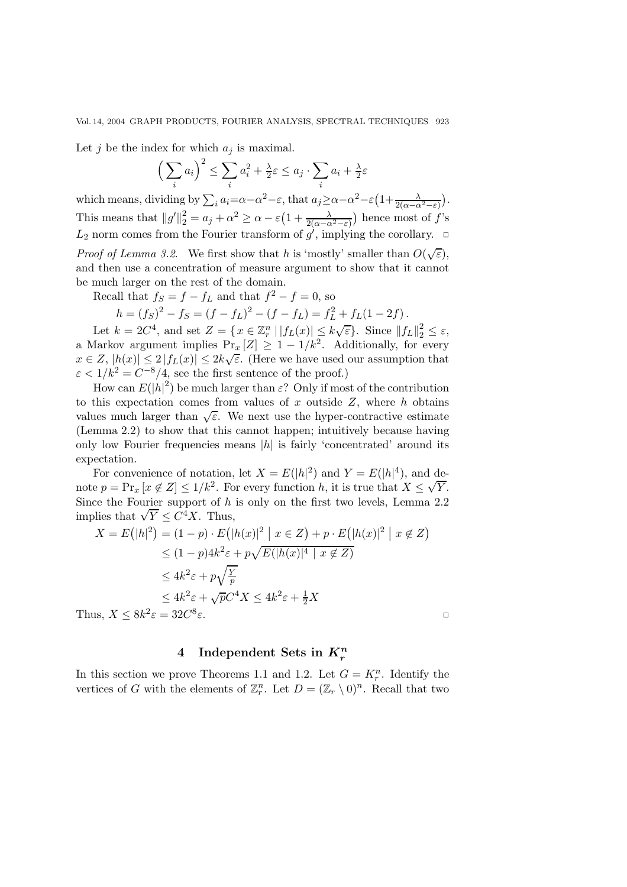Let j be the index for which  $a_j$  is maximal.

$$
\left(\sum_{i} a_i\right)^2 \le \sum_{i} a_i^2 + \frac{\lambda}{2}\varepsilon \le a_j \cdot \sum_{i} a_i + \frac{\lambda}{2}\varepsilon
$$

which means, dividing by  $\sum_i a_i = \alpha - \alpha^2 - \varepsilon$ , that  $a_j \ge \alpha - \alpha^2 - \varepsilon \left(1 + \frac{\lambda}{2(\alpha - \alpha^2 - \varepsilon)}\right)$ . This means that  $||g'||_2^2 = a_j + \alpha^2 \ge \alpha - \varepsilon \left(1 + \frac{\lambda}{2(\alpha - \alpha^2 - \varepsilon)}\right)$  hence most of f's  $L_2$  norm comes from the Fourier transform of  $g'$ , implying the corollary.  $\Box$ 

*Proof of Lemma 3.2.* We first show that h is 'mostly' smaller than  $O(\sqrt{\varepsilon})$ , and then use a concentration of measure argument to show that it cannot be much larger on the rest of the domain.

Recall that  $f_S = f - f_L$  and that  $f^2 - f = 0$ , so

$$
h = (f_S)^2 - f_S = (f - f_L)^2 - (f - f_L) = f_L^2 + f_L(1 - 2f).
$$

Let  $k = 2C^4$ , and set  $Z = \{x \in \mathbb{Z}_r^n | |f_L(x)| \le k\sqrt{\varepsilon}\}\)$ . Since  $||f_L||_2^2 \le \varepsilon$ ,<br>Aarkov argument implies  $Pr [Z] > 1 - 1/k^2$ . Additionally, for every a Markov argument implies  $Pr_x[Z] \geq 1 - 1/k^2$ . Additionally, for every  $x \in Z$ ,  $|h(x)| \leq 2 |f_L(x)| \leq 2k\sqrt{\varepsilon}$ . (Here we have used our assumption that  $\varepsilon < 1/k^2 = C^{-8}/4$ , see the first sentence of the proof.)

How can  $E(|h|^2)$  be much larger than  $\varepsilon$ ? Only if most of the contribution to this expectation comes from values of  $x$  outside  $Z$ , where  $h$  obtains values much larger than  $\sqrt{\varepsilon}$ . We next use the hyper-contractive estimate (Lemma 2.2) to show that this cannot happen; intuitively because having only low Fourier frequencies means  $|h|$  is fairly 'concentrated' around its expectation.

For convenience of notation, let  $X = E(|h|^2)$  and  $Y = E(|h|^4)$ , and de-For convenience of notation, let  $X = E(|n|^{-})$  and  $Y = E(|n|^{-})$ , and de-<br>note  $p = \Pr_x [x \notin Z] \le 1/k^2$ . For every function h, it is true that  $X \le \sqrt{Y}$ . Since the Fourier support of  $h$  is only on the first two levels, Lemma 2.2 since the rourier support of *n*<br>implies that  $\sqrt{Y} \leq C^4 X$ . Thus,

$$
X = E(|h|^2) = (1 - p) \cdot E(|h(x)|^2 | x \in Z) + p \cdot E(|h(x)|^2 | x \notin Z)
$$
  
\n
$$
\leq (1 - p)4k^2 \varepsilon + p\sqrt{E(|h(x)|^4 | x \notin Z)}
$$
  
\n
$$
\leq 4k^2 \varepsilon + p\sqrt{\frac{Y}{p}}
$$
  
\n
$$
\leq 4k^2 \varepsilon + \sqrt{p}C^4 X \leq 4k^2 \varepsilon + \frac{1}{2}X
$$
  
\nThus,  $X \leq 8k^2 \varepsilon = 32C^8 \varepsilon$ .

**4 Independent Sets in** *K<sup>n</sup> r*

In this section we prove Theorems 1.1 and 1.2. Let  $G = K_r^n$ . Identify the vertices of G with the elements of  $\mathbb{Z}_r^n$ . Let  $D = (\mathbb{Z}_r \setminus 0)^n$ . Recall that two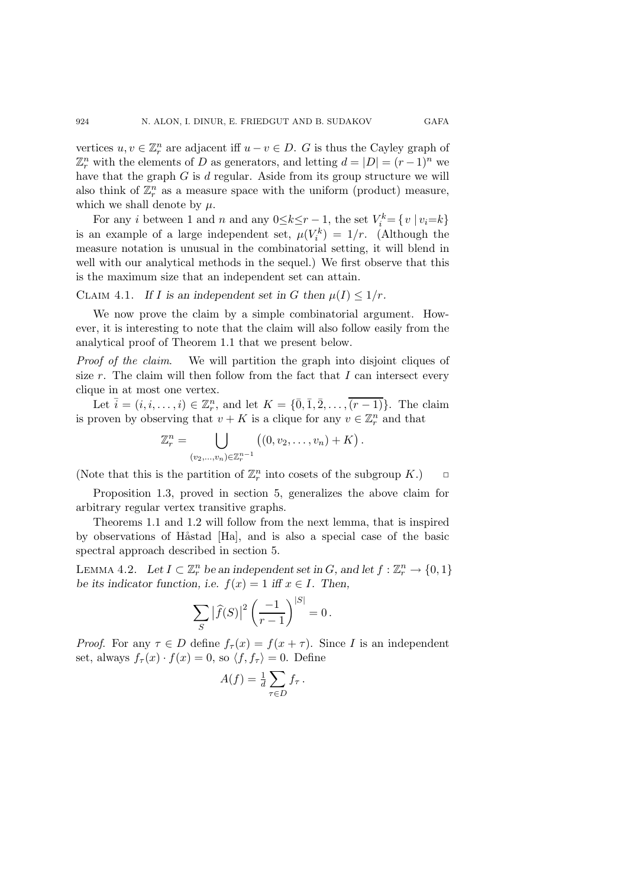vertices  $u, v \in \mathbb{Z}_r^n$  are adjacent iff  $u - v \in D$ . G is thus the Cayley graph of  $\mathbb{Z}_r^n$  with the elements of D as generators, and letting  $d = |D| = (r-1)^n$  we have that the graph  $G$  is  $d$  regular. Aside from its group structure we will also think of  $\mathbb{Z}_r^n$  as a measure space with the uniform (product) measure, which we shall denote by  $\mu$ .

For any *i* between 1 and *n* and any  $0 \le k \le r - 1$ , the set  $V_i^k = \{v \mid v_i = k\}$ is an example of a large independent set,  $\mu(V_i^k) = 1/r$ . (Although the measure notation is unusual in the combinatorial setting, it will blend in well with our analytical methods in the sequel.) We first observe that this is the maximum size that an independent set can attain.

CLAIM 4.1. If I is an independent set in G then  $\mu(I) \leq 1/r$ .

We now prove the claim by a simple combinatorial argument. However, it is interesting to note that the claim will also follow easily from the analytical proof of Theorem 1.1 that we present below.

*Proof of the claim.* We will partition the graph into disjoint cliques of size r. The claim will then follow from the fact that I can intersect every clique in at most one vertex.

Let  $\bar{i} = (i, i, \ldots, i) \in \mathbb{Z}_r^n$ , and let  $K = \{\bar{0}, \bar{1}, \bar{2}, \ldots, \overline{(r-1)}\}$ . The claim is proven by observing that  $v + K$  is a clique for any  $v \in \mathbb{Z}_r^n$  and that

$$
\mathbb{Z}_r^n = \bigcup_{(v_2,...,v_n)\in \mathbb{Z}_r^{n-1}} \left( (0,v_2,...,v_n) + K \right).
$$

(Note that this is the partition of  $\mathbb{Z}_r^n$  into cosets of the subgroup  $K$ .)  $\Box$ 

Proposition 1.3, proved in section 5, generalizes the above claim for arbitrary regular vertex transitive graphs.

Theorems 1.1 and 1.2 will follow from the next lemma, that is inspired by observations of Håstad [Ha], and is also a special case of the basic spectral approach described in section 5.

LEMMA 4.2. Let  $I \subset \mathbb{Z}_r^n$  be an independent set in G, and let  $f : \mathbb{Z}_r^n \to \{0,1\}$ *be its indicator function, i.e.*  $f(x) = 1$  *iff*  $x \in I$ *. Then,* 

$$
\sum_{S} |\widehat{f}(S)|^2 \left(\frac{-1}{r-1}\right)^{|S|} = 0.
$$

*Proof.* For any  $\tau \in D$  define  $f_{\tau}(x) = f(x + \tau)$ . Since I is an independent set, always  $f_{\tau}(x) \cdot f(x) = 0$ , so  $\langle f, f_{\tau} \rangle = 0$ . Define

$$
A(f) = \frac{1}{d} \sum_{\tau \in D} f_{\tau} \, .
$$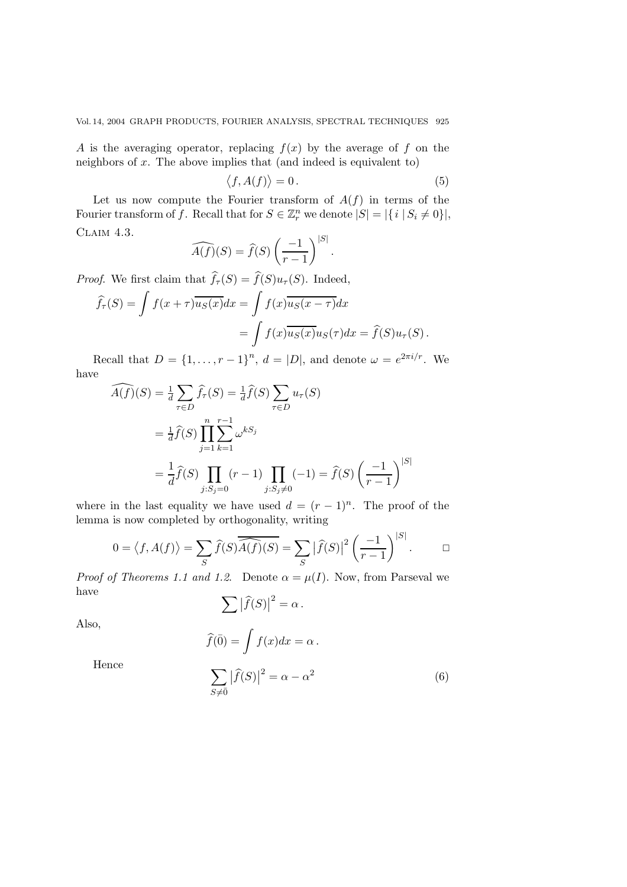A is the averaging operator, replacing  $f(x)$  by the average of f on the neighbors of  $x$ . The above implies that (and indeed is equivalent to)

$$
f, A(f) \rangle = 0. \tag{5}
$$

Let us now compute the Fourier transform of  $A(f)$  in terms of the Fourier transform of f. Recall that for  $S \in \mathbb{Z}_r^n$  we denote  $|S| = |\{i \mid S_i \neq 0\}|$ , CLAIM 4.3.

$$
\widehat{A(f)}(S) = \widehat{f}(S) \left(\frac{-1}{r-1}\right)^{|S|}.
$$

*Proof.* We first claim that  $f_\tau(S) = f(S)u_\tau(S)$ . Indeed,

 $\langle$ 

$$
\widehat{f}_{\tau}(S) = \int f(x+\tau)\overline{u_S(x)}dx = \int f(x)\overline{u_S(x-\tau)}dx
$$

$$
= \int f(x)\overline{u_S(x)}u_S(\tau)dx = \widehat{f}(S)u_{\tau}(S).
$$

Recall that  $D = \{1, \ldots, r-1\}^n$ ,  $d = |D|$ , and denote  $\omega = e^{2\pi i/r}$ . We have

$$
\widehat{A(f)}(S) = \frac{1}{d} \sum_{\tau \in D} \widehat{f}_{\tau}(S) = \frac{1}{d} \widehat{f}(S) \sum_{\tau \in D} u_{\tau}(S)
$$
  

$$
= \frac{1}{d} \widehat{f}(S) \prod_{j=1}^{n} \sum_{k=1}^{r-1} \omega^{kS_j}
$$
  

$$
= \frac{1}{d} \widehat{f}(S) \prod_{j:S_j=0} (r-1) \prod_{j:S_j \neq 0} (-1) = \widehat{f}(S) \left(\frac{-1}{r-1}\right)^{|S|}
$$

where in the last equality we have used  $d = (r-1)^n$ . The proof of the lemma is now completed by orthogonality, writing

$$
0 = \langle f, A(f) \rangle = \sum_{S} \widehat{f}(S) \overline{\widehat{A}(f)}(S) = \sum_{S} |\widehat{f}(S)|^2 \left(\frac{-1}{r-1}\right)^{|S|}.\qquad \Box
$$

*Proof of Theorems 1.1 and 1.2.* Denote  $\alpha = \mu(I)$ . Now, from Parseval we have

$$
\sum |\widehat{f}(S)|^2 = \alpha.
$$

Also,

$$
\widehat{f}(\overline{0}) = \int f(x)dx = \alpha.
$$

Hence

$$
\sum_{S \neq \bar{0}} |\widehat{f}(S)|^2 = \alpha - \alpha^2 \tag{6}
$$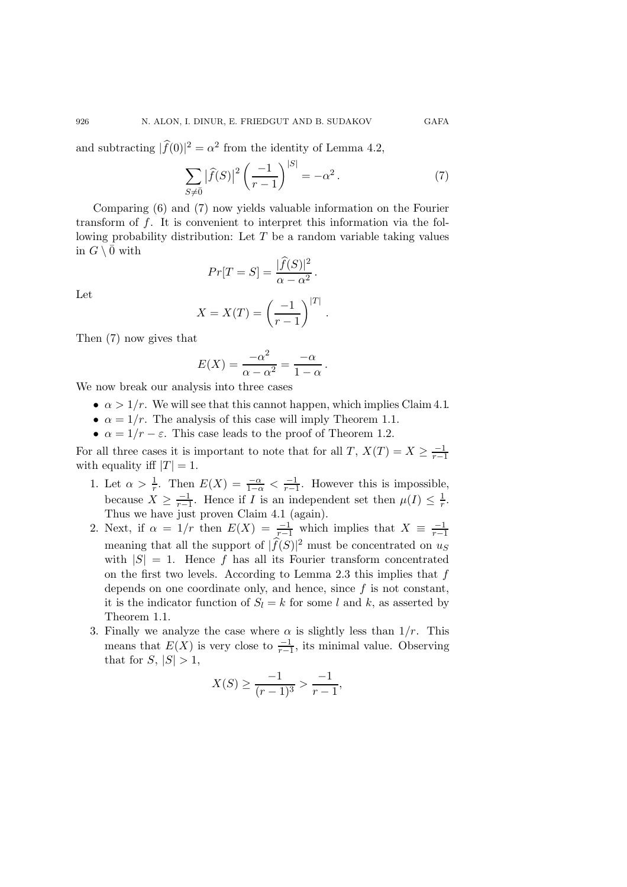and subtracting  $|f(0)|^2 = \alpha^2$  from the identity of Lemma 4.2,

$$
\sum_{S \neq \bar{0}} |\hat{f}(S)|^2 \left(\frac{-1}{r-1}\right)^{|S|} = -\alpha^2.
$$
 (7)

Comparing (6) and (7) now yields valuable information on the Fourier transform of f. It is convenient to interpret this information via the following probability distribution: Let  $T$  be a random variable taking values in  $G \setminus \overline{0}$  with

$$
Pr[T = S] = \frac{|\widehat{f}(S)|^2}{\alpha - \alpha^2}.
$$

Let

$$
X = X(T) = \left(\frac{-1}{r-1}\right)^{|T|}.
$$

Then (7) now gives that

$$
E(X) = \frac{-\alpha^2}{\alpha - \alpha^2} = \frac{-\alpha}{1 - \alpha}.
$$

We now break our analysis into three cases

- $\alpha > 1/r$ . We will see that this cannot happen, which implies Claim 4.1.
- $\alpha = 1/r$ . The analysis of this case will imply Theorem 1.1.
- $\alpha = 1/r \varepsilon$ . This case leads to the proof of Theorem 1.2.

For all three cases it is important to note that for all  $T, X(T) = X \geq \frac{-1}{r-1}$ <br>with equality iff  $|T| - 1$ with equality iff  $|T| = 1$ .

- 1. Let  $\alpha > \frac{1}{r}$ . Then  $E(X) = \frac{-\alpha}{1-\alpha} < \frac{-1}{r-1}$ . However this is impossible, because  $X \geq \frac{-1}{r-1}$ . Hence if I is an independent set then  $\mu(I) \leq \frac{1}{r}$ . because  $X \geq \frac{-1}{r-1}$ . Hence if I is an independent set then  $\mu(I) \leq \frac{1}{r}$ . Thus we have just proven Claim 4.1 (again).
- 2. Next, if  $\alpha = 1/r$  then  $E(X) = \frac{-1}{r-1}$  which implies that  $X = \frac{-1}{r-1}$ meaning that all the support of  $|f(S)|^2$  must be concentrated on us with  $|S| = 1$ . Hence f has all its Fourier transform concentrated on the first two levels. According to Lemma 2.3 this implies that  $f$ depends on one coordinate only, and hence, since  $f$  is not constant, it is the indicator function of  $S_l = k$  for some l and k, as asserted by Theorem 1.1.
- 3. Finally we analyze the case where  $\alpha$  is slightly less than  $1/r$ . This means that  $E(X)$  is very close to  $\frac{-1}{r-1}$ , its minimal value. Observing that for  $S \rvert |S| > 1$ that for  $S, |S| > 1$ ,

$$
X(S) \ge \frac{-1}{(r-1)^3} > \frac{-1}{r-1},
$$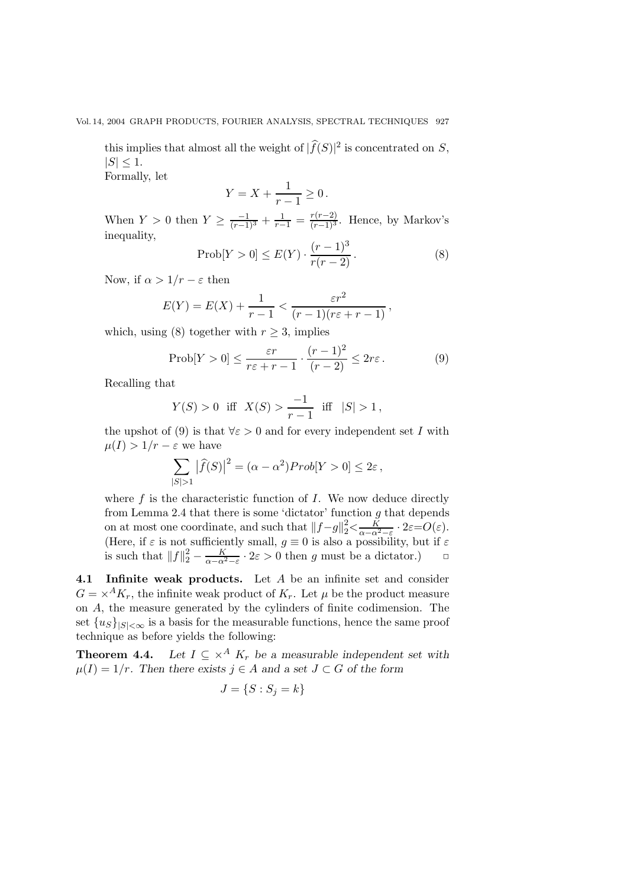this implies that almost all the weight of  $|f(S)|^2$  is concentrated on S,  $|S| < 1.$ 

Formally, let

$$
Y = X + \frac{1}{r-1} \ge 0.
$$

When  $Y > 0$  then  $Y \ge \frac{-1}{(r-1)^3} + \frac{1}{r-1} = \frac{r(r-2)}{(r-1)^3}$ . Hence, by Markov's inequality,

$$
\text{Prob}[Y > 0] \le E(Y) \cdot \frac{(r-1)^3}{r(r-2)}.\tag{8}
$$

Now, if  $\alpha > 1/r - \varepsilon$  then

$$
E(Y) = E(X) + \frac{1}{r-1} < \frac{\varepsilon r^2}{(r-1)(r\varepsilon + r - 1)},
$$

which, using (8) together with  $r \geq 3$ , implies

$$
\text{Prob}[Y > 0] \le \frac{\varepsilon r}{r\varepsilon + r - 1} \cdot \frac{(r - 1)^2}{(r - 2)} \le 2r\varepsilon. \tag{9}
$$

Recalling that

$$
Y(S) > 0
$$
 iff  $X(S) > \frac{-1}{r-1}$  iff  $|S| > 1$ ,

the upshot of (9) is that  $\forall \varepsilon > 0$  and for every independent set I with  $\mu(I) > 1/r - \varepsilon$  we have

$$
\sum_{|S|>1} |\widehat{f}(S)|^2 = (\alpha - \alpha^2) Prob[Y > 0] \le 2\varepsilon,
$$

where  $f$  is the characteristic function of  $I$ . We now deduce directly from Lemma 2.4 that there is some 'dictator' function  $g$  that depends on at most one coordinate, and such that  $||f-g||_2^2 < \frac{K}{\alpha - \alpha^2 - \varepsilon} \cdot 2\varepsilon = O(\varepsilon)$ .<br>(Here, if  $\varepsilon$  is not sufficiently small,  $g \equiv 0$  is also a possibility, but if  $\varepsilon$ is such that  $||f||_2^2 - \frac{K}{\alpha - \alpha^2 - \varepsilon} \cdot 2\varepsilon > 0$  then g must be a dictator.)  $\Box$ 

**4.1 Infinite weak products.** Let A be an infinite set and consider  $G = \times^A K_r$ , the infinite weak product of  $K_r$ . Let  $\mu$  be the product measure on A, the measure generated by the cylinders of finite codimension. The set  $\{u_S\}_{|S|<\infty}$  is a basis for the measurable functions, hence the same proof technique as before yields the following:

**Theorem 4.4.** *Let*  $I \subseteq \times^A K_r$  *be a measurable independent set with*  $\mu(I)=1/r$ *.* Then there exists  $j \in A$  and a set  $J \subset G$  of the form

$$
J = \{S : S_j = k\}
$$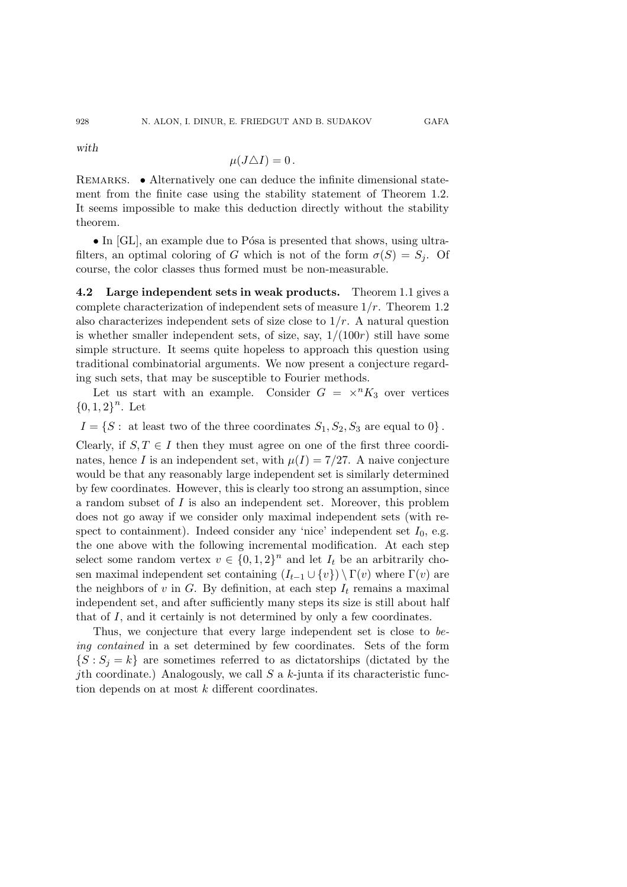*with*

928

$$
\mu(J\triangle I)=0.
$$

REMARKS. • Alternatively one can deduce the infinite dimensional statement from the finite case using the stability statement of Theorem 1.2. It seems impossible to make this deduction directly without the stability theorem.

• In  $[GL]$ , an example due to Pósa is presented that shows, using ultrafilters, an optimal coloring of G which is not of the form  $\sigma(S) = S_i$ . Of course, the color classes thus formed must be non-measurable.

**4.2 Large independent sets in weak products.** Theorem 1.1 gives a complete characterization of independent sets of measure  $1/r$ . Theorem 1.2 also characterizes independent sets of size close to  $1/r$ . A natural question is whether smaller independent sets, of size, say,  $1/(100r)$  still have some simple structure. It seems quite hopeless to approach this question using traditional combinatorial arguments. We now present a conjecture regarding such sets, that may be susceptible to Fourier methods.

Let us start with an example. Consider  $G = \times^n K_3$  over vertices  ${0, 1, 2}^n$ . Let

 $I = \{S : \text{ at least two of the three coordinates } S_1, S_2, S_3 \text{ are equal to } 0\}.$ 

Clearly, if  $S, T \in I$  then they must agree on one of the first three coordinates, hence I is an independent set, with  $\mu(I)=7/27$ . A naive conjecture would be that any reasonably large independent set is similarly determined by few coordinates. However, this is clearly too strong an assumption, since a random subset of I is also an independent set. Moreover, this problem does not go away if we consider only maximal independent sets (with respect to containment). Indeed consider any 'nice' independent set  $I_0$ , e.g. the one above with the following incremental modification. At each step select some random vertex  $v \in \{0,1,2\}^n$  and let  $I_t$  be an arbitrarily chosen maximal independent set containing  $(I_{t-1} \cup \{v\}) \setminus \Gamma(v)$  where  $\Gamma(v)$  are the neighbors of v in G. By definition, at each step  $I_t$  remains a maximal independent set, and after sufficiently many steps its size is still about half that of I, and it certainly is not determined by only a few coordinates.

Thus, we conjecture that every large independent set is close to *being contained* in a set determined by few coordinates. Sets of the form  $\{S: S_j = k\}$  are sometimes referred to as dictatorships (dictated by the jth coordinate.) Analogously, we call  $S$  a  $k$ -junta if its characteristic function depends on at most k different coordinates.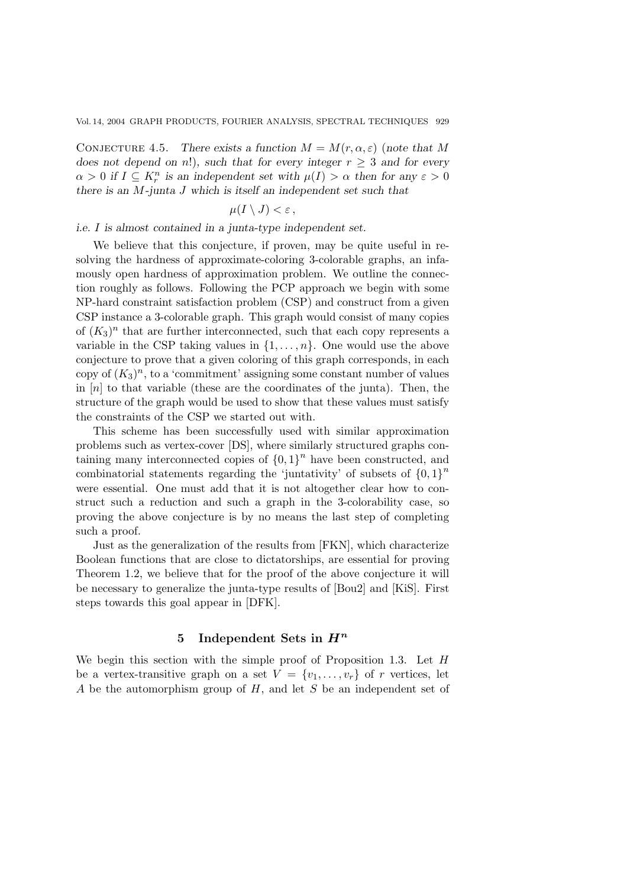CONJECTURE 4.5. *There exists a function*  $M = M(r, \alpha, \varepsilon)$  (note that M *does not depend on n!*)*, such that for every integer*  $r \geq 3$  *and for every*  $\alpha > 0$  if  $I \subseteq K_r^n$  is an independent set with  $\mu(I) > \alpha$  then for any  $\varepsilon > 0$ *there is an* M*-junta* J *which is itself an independent set such that*

$$
\mu(I\setminus J)<\varepsilon\,,
$$

#### *i.e.* I *is almost contained in a junta-type independent set.*

We believe that this conjecture, if proven, may be quite useful in resolving the hardness of approximate-coloring 3-colorable graphs, an infamously open hardness of approximation problem. We outline the connection roughly as follows. Following the PCP approach we begin with some NP-hard constraint satisfaction problem (CSP) and construct from a given CSP instance a 3-colorable graph. This graph would consist of many copies of  $(K_3)^n$  that are further interconnected, such that each copy represents a variable in the CSP taking values in  $\{1,\ldots,n\}$ . One would use the above conjecture to prove that a given coloring of this graph corresponds, in each copy of  $(K_3)^n$ , to a 'commitment' assigning some constant number of values in  $[n]$  to that variable (these are the coordinates of the junta). Then, the structure of the graph would be used to show that these values must satisfy the constraints of the CSP we started out with.

This scheme has been successfully used with similar approximation problems such as vertex-cover [DS], where similarly structured graphs containing many interconnected copies of  $\{0, 1\}^n$  have been constructed, and combinatorial statements regarding the 'juntativity' of subsets of  ${0, 1}^n$ were essential. One must add that it is not altogether clear how to construct such a reduction and such a graph in the 3-colorability case, so proving the above conjecture is by no means the last step of completing such a proof.

Just as the generalization of the results from [FKN], which characterize Boolean functions that are close to dictatorships, are essential for proving Theorem 1.2, we believe that for the proof of the above conjecture it will be necessary to generalize the junta-type results of [Bou2] and [KiS]. First steps towards this goal appear in [DFK].

#### **5 Independent Sets in** *H<sup>n</sup>*

We begin this section with the simple proof of Proposition 1.3. Let H be a vertex-transitive graph on a set  $V = \{v_1, \ldots, v_r\}$  of r vertices, let A be the automorphism group of H, and let S be an independent set of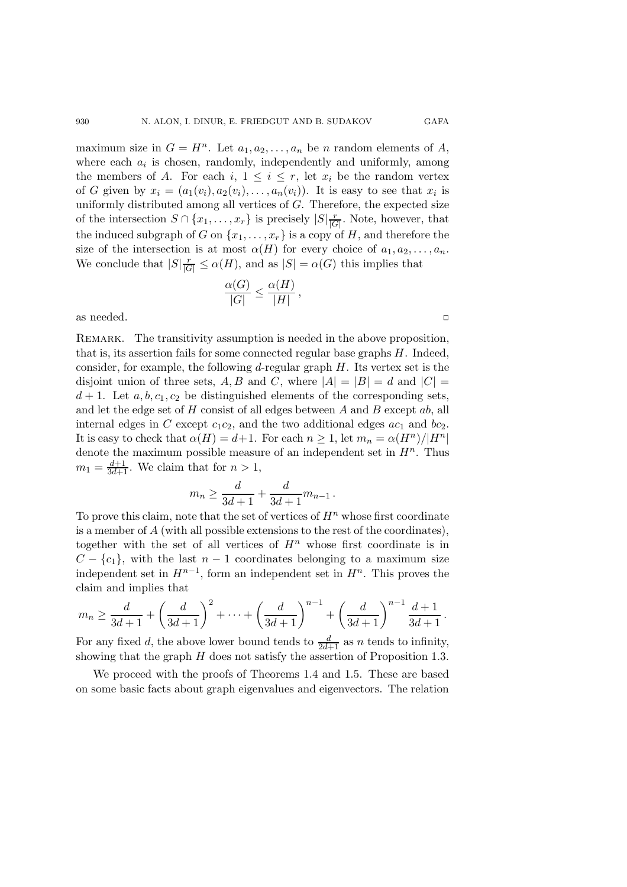maximum size in  $G = H<sup>n</sup>$ . Let  $a_1, a_2, \ldots, a_n$  be *n* random elements of *A*, where each  $a_i$  is chosen, randomly, independently and uniformly, among the members of A. For each i,  $1 \leq i \leq r$ , let  $x_i$  be the random vertex of G given by  $x_i = (a_1(v_i), a_2(v_i), \ldots, a_n(v_i))$ . It is easy to see that  $x_i$  is uniformly distributed among all vertices of  $G$ . Therefore, the expected size of the intersection  $S \cap \{x_1, \ldots, x_r\}$  is precisely  $|S| \frac{r}{|G|}$ . Note, however, that the induced subgraph of G on  $\{x_1,\ldots,x_r\}$  is a copy of H, and therefore the size of the intersection is at most  $\alpha(H)$  for every choice of  $a_1, a_2, \ldots, a_n$ . We conclude that  $|S| \frac{r}{|G|} \le \alpha(H)$ , and as  $|S| = \alpha(G)$  this implies that

$$
\frac{\alpha(G)}{|G|} \le \frac{\alpha(H)}{|H|},
$$

as needed.  $\Box$ 

Remark. The transitivity assumption is needed in the above proposition, that is, its assertion fails for some connected regular base graphs H. Indeed, consider, for example, the following  $d$ -regular graph  $H$ . Its vertex set is the disjoint union of three sets, A, B and C, where  $|A| = |B| = d$  and  $|C| =$  $d+1$ . Let  $a, b, c_1, c_2$  be distinguished elements of the corresponding sets, and let the edge set of  $H$  consist of all edges between  $A$  and  $B$  except  $ab$ , all internal edges in C except  $c_1c_2$ , and the two additional edges  $ac_1$  and  $bc_2$ . It is easy to check that  $\alpha(H) = d+1$ . For each  $n \geq 1$ , let  $m_n = \alpha(H^n)/|H^n|$ denote the maximum possible measure of an independent set in  $H<sup>n</sup>$ . Thus  $m_1 = \frac{d+1}{3d+1}$ . We claim that for  $n > 1$ ,

$$
m_n \ge \frac{d}{3d+1} + \frac{d}{3d+1}m_{n-1} \, .
$$

To prove this claim, note that the set of vertices of  $H<sup>n</sup>$  whose first coordinate is a member of A (with all possible extensions to the rest of the coordinates), together with the set of all vertices of  $H<sup>n</sup>$  whose first coordinate is in  $C - \{c_1\}$ , with the last  $n - 1$  coordinates belonging to a maximum size independent set in  $H^{n-1}$ , form an independent set in  $H^n$ . This proves the claim and implies that

$$
m_n \ge \frac{d}{3d+1} + \left(\frac{d}{3d+1}\right)^2 + \dots + \left(\frac{d}{3d+1}\right)^{n-1} + \left(\frac{d}{3d+1}\right)^{n-1} \frac{d+1}{3d+1}.
$$

For any fixed d, the above lower bound tends to  $\frac{d}{2d+1}$  as n tends to infinity,<br>showing that the graph H does not satisfy the assertion of Proposition 1.3 showing that the graph  $H$  does not satisfy the assertion of Proposition 1.3.

We proceed with the proofs of Theorems 1.4 and 1.5. These are based on some basic facts about graph eigenvalues and eigenvectors. The relation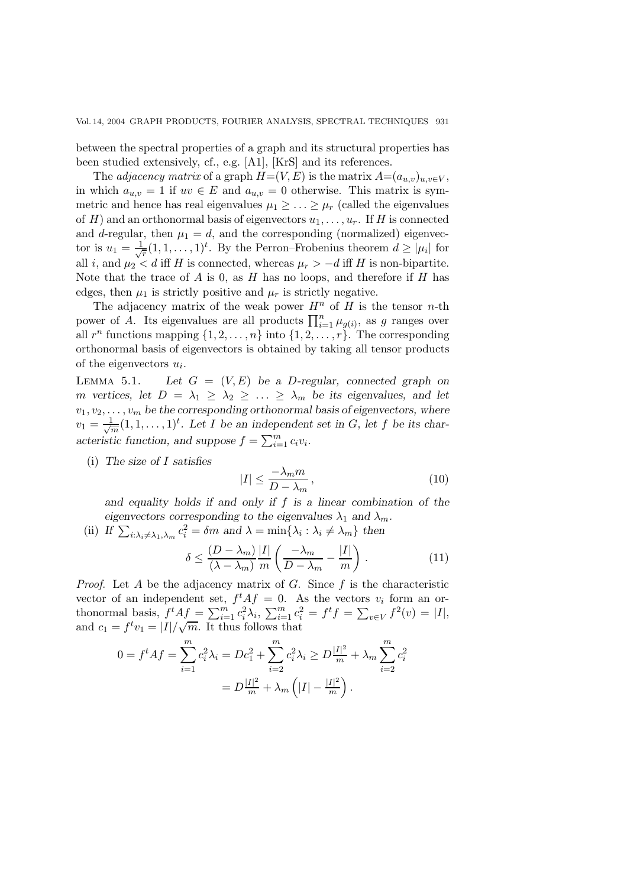between the spectral properties of a graph and its structural properties has been studied extensively, cf., e.g. [A1], [KrS] and its references.

The *adjacency matrix* of a graph  $H=(V,E)$  is the matrix  $A=(a_{u,v})_{u,v\in V}$ , in which  $a_{u,v} = 1$  if  $uv \in E$  and  $a_{u,v} = 0$  otherwise. This matrix is symmetric and hence has real eigenvalues  $\mu_1 \geq \ldots \geq \mu_r$  (called the eigenvalues of H) and an orthonormal basis of eigenvectors  $u_1, \ldots, u_r$ . If H is connected and d-regular, then  $\mu_1 = d$ , and the corresponding (normalized) eigenvector is  $u_1 = \frac{1}{\sqrt{r}} (1, 1, \ldots, 1)^t$ . By the Perron–Frobenius theorem  $d \geq |\mu_i|$  for all i, and  $\mu_2 < d$  iff H is connected, whereas  $\mu_r > -d$  iff H is non-bipartite. Note that the trace of  $A$  is 0, as  $H$  has no loops, and therefore if  $H$  has edges, then  $\mu_1$  is strictly positive and  $\mu_r$  is strictly negative.

The adjacency matrix of the weak power  $H^n$  of H is the tensor n-th power of A. Its eigenvalues are all products  $\prod_{i=1}^{n} \mu_{g(i)}$ , as g ranges over<br>all  $x^n$  functions mapping  $\{1, 2, ..., n\}$  into  $\{1, 2, ..., n\}$ . The corresponding all  $r^n$  functions mapping  $\{1, 2, ..., n\}$  into  $\{1, 2, ..., r\}$ . The corresponding orthonormal basis of eigenvectors is obtained by taking all tensor products of the eigenvectors  $u_i$ .

LEMMA 5.1. Let  $G = (V, E)$  be a D-regular, connected graph on m vertices, let  $D = \lambda_1 \geq \lambda_2 \geq \ldots \geq \lambda_m$  be its eigenvalues, and let  $v_1, v_2, \ldots, v_m$  be the corresponding orthonormal basis of eigenvectors, where  $v_1 = \frac{1}{\sqrt{m}} (1, 1, \dots, 1)^t$ . Let I be an independent set in G, let f be its characteristic function, and suppose  $f = \sum_{i=1}^{m} c_i v_i$ .

(i) *The size of* I *satisfies*

$$
|I| \le \frac{-\lambda_m m}{D - \lambda_m},\tag{10}
$$

*and equality holds if and only if* f *is a linear combination of the eigenvectors corresponding to the eigenvalues*  $\lambda_1$  *and*  $\lambda_m$ *.* 

(ii) If  $\sum_{i:\lambda_i\neq\lambda_1,\lambda_m} c_i^2 = \delta m$  and  $\lambda = \min\{\lambda_i : \lambda_i \neq \lambda_m\}$  then

$$
\delta \le \frac{(D - \lambda_m)}{(\lambda - \lambda_m)} \frac{|I|}{m} \left( \frac{-\lambda_m}{D - \lambda_m} - \frac{|I|}{m} \right). \tag{11}
$$

*Proof.* Let A be the adjacency matrix of G. Since  $f$  is the characteristic vector of an independent set,  $f^t A f = 0$ . As the vectors  $v_i$  form an orthonormal basis,  $f^t A f = \sum_{i=1}^m c_i^2 \lambda_i$ ,  $\sum_{i=1}^m c_i^2 = f^t f = \sum_{v \in V} f^2(v) = |I|$ ,<br>and  $c_1 = f^t v_1 = |I|/\sqrt{m}$ . It thus follows that and  $c_1 = f^t v_1 = |I| / \sqrt{m}$ . It thus follows that

$$
0 = f^t A f = \sum_{i=1}^m c_i^2 \lambda_i = Dc_1^2 + \sum_{i=2}^m c_i^2 \lambda_i \ge D \frac{|I|^2}{m} + \lambda_m \sum_{i=2}^m c_i^2
$$

$$
= D \frac{|I|^2}{m} + \lambda_m \left( |I| - \frac{|I|^2}{m} \right).
$$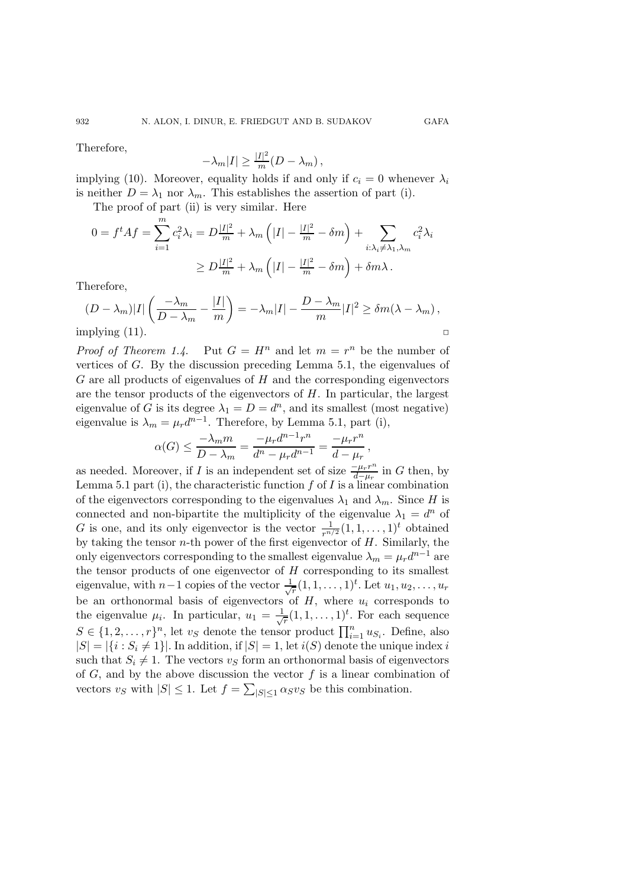Therefore,

932

$$
-\lambda_m|I| \ge \frac{|I|^2}{m}(D-\lambda_m),
$$

implying (10). Moreover, equality holds if and only if  $c_i = 0$  whenever  $\lambda_i$ is neither  $D = \lambda_1$  nor  $\lambda_m$ . This establishes the assertion of part (i).

The proof of part (ii) is very similar. Here

$$
0 = f^t A f = \sum_{i=1}^m c_i^2 \lambda_i = D \frac{|I|^2}{m} + \lambda_m \left( |I| - \frac{|I|^2}{m} - \delta m \right) + \sum_{i:\lambda_i \neq \lambda_1, \lambda_m} c_i^2 \lambda_i
$$

$$
\geq D \frac{|I|^2}{m} + \lambda_m \left( |I| - \frac{|I|^2}{m} - \delta m \right) + \delta m \lambda.
$$

Therefore,

$$
(D - \lambda_m)|I| \left( \frac{-\lambda_m}{D - \lambda_m} - \frac{|I|}{m} \right) = -\lambda_m |I| - \frac{D - \lambda_m}{m} |I|^2 \ge \delta m (\lambda - \lambda_m),
$$
  
implying (11).

*Proof of Theorem 1.4.* Put  $G = H^n$  and let  $m = r^n$  be the number of vertices of G. By the discussion preceding Lemma 5.1, the eigenvalues of  $G$  are all products of eigenvalues of  $H$  and the corresponding eigenvectors are the tensor products of the eigenvectors of  $H$ . In particular, the largest eigenvalue of G is its degree  $\lambda_1 = D = d^n$ , and its smallest (most negative) eigenvalue is  $\lambda_m = \mu_r d^{n-1}$ . Therefore, by Lemma 5.1, part (i),

$$
\alpha(G) \le \frac{-\lambda_m m}{D - \lambda_m} = \frac{-\mu_r d^{n-1} r^n}{d^n - \mu_r d^{n-1}} = \frac{-\mu_r r^n}{d - \mu_r},
$$

as needed. Moreover, if I is an independent set of size  $\frac{-\mu_r r^n}{d-\mu_r}$  in G then, by Lemma 5.1 part (i), the characteristic function  $f$  of  $I$  is a linear combination of the eigenvectors corresponding to the eigenvalues  $\lambda_1$  and  $\lambda_m$ . Since H is connected and non-bipartite the multiplicity of the eigenvalue  $\lambda_1 = d^n$  of G is one, and its only eigenvector is the vector  $\frac{1}{r^{n/2}}(1, 1, \ldots, 1)^t$  obtained by taking the tensor  $n$ -th power of the first eigenvector of  $H$ . Similarly, the only eigenvectors corresponding to the smallest eigenvalue  $\lambda_m = \mu_r d^{n-1}$  are the tensor products of one eigenvector of  $H$  corresponding to its smallest eigenvalue, with  $n-1$  copies of the vector  $\frac{1}{\sqrt{r}}(1,1,\ldots,1)^t$ . Let  $u_1, u_2, \ldots, u_r$ be an orthonormal basis of eigenvectors of  $H$ , where  $u_i$  corresponds to the eigenvalue  $\mu_i$ . In particular,  $u_1 = \frac{1}{\sqrt{r}}(1, 1, \ldots, 1)^t$ . For each sequence  $S \in \{1, 2, ..., r\}^n$ , let  $v_S$  denote the tensor product  $\prod_{i=1}^n u_{S_i}$ . Define, also  $|S| = |f_i \cdot S_i + 1|$  In addition if  $|S| = 1$  let  $i(S)$  denote the unique index i  $|S| = |\{i : S_i \neq 1\}|.$  In addition, if  $|S| = 1$ , let  $i(S)$  denote the unique index i such that  $S_i \neq 1$ . The vectors  $v_s$  form an orthonormal basis of eigenvectors of  $G$ , and by the above discussion the vector  $f$  is a linear combination of vectors  $v_S$  with  $|S| \leq 1$ . Let  $f = \sum_{|S| \leq 1} \alpha_S v_S$  be this combination.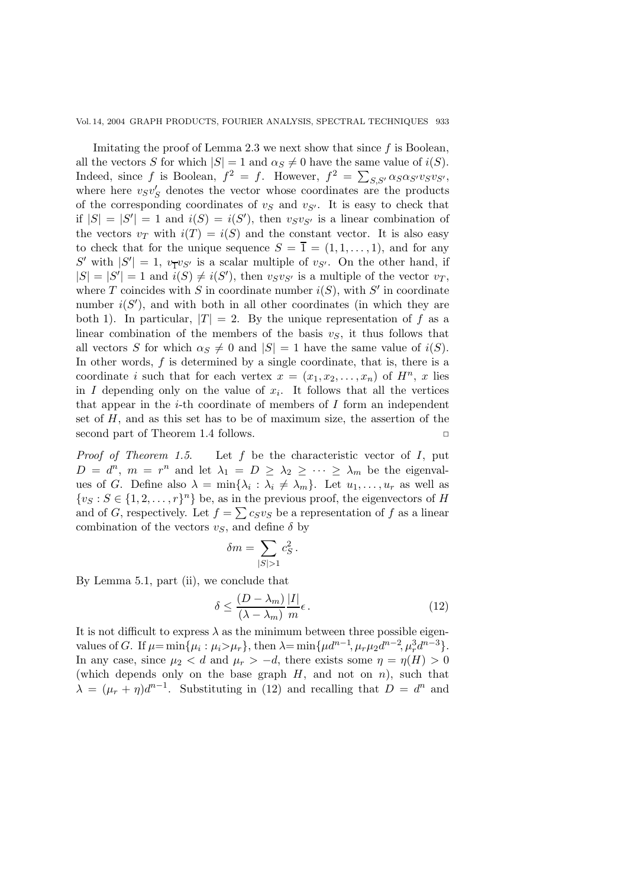Imitating the proof of Lemma 2.3 we next show that since  $f$  is Boolean, all the vectors S for which  $|S| = 1$  and  $\alpha_S \neq 0$  have the same value of  $i(S)$ . Indeed, since f is Boolean,  $f^2 = f$ . However,  $f^2 = \sum_{S,S'} \alpha_S \alpha_{S'} v_S v_{S'}$ , where here  $v_S v_S'$  denotes the vector whose coordinates are the products of the corresponding coordinates of  $v<sub>S</sub>$  and  $v<sub>S'</sub>$ . It is easy to check that if  $|S| = |S'| = 1$  and  $i(S) = i(S')$ , then  $v_S v_{S'}$  is a linear combination of the vectors  $v_T$  with  $i(T) = i(S)$  and the constant vector. It is also easy to check that for the unique sequence  $S = \overline{1} = (1, 1, \ldots, 1)$ , and for any S' with  $|S'| = 1$ ,  $v_T v_{S'}$  is a scalar multiple of  $v_{S'}$ . On the other hand, if  $|S| = |S'| = 1$  and  $i(S) \neq i(S')$  then users is a multiple of the vector  $v_T$  $|S| = |S'| = 1$  and  $i(S) \neq i(S')$ , then  $v_S v_{S'}$  is a multiple of the vector  $v_T$ , where T coincides with S in coordinate number  $i(S)$ , with S' in coordinate number  $i(S')$ , and with both in all other coordinates (in which they are both 1). In particular,  $|T| = 2$ . By the unique representation of f as a linear combination of the members of the basis  $v<sub>S</sub>$ , it thus follows that all vectors S for which  $\alpha_S \neq 0$  and  $|S| = 1$  have the same value of  $i(S)$ . In other words,  $f$  is determined by a single coordinate, that is, there is a coordinate i such that for each vertex  $x = (x_1, x_2, \ldots, x_n)$  of  $H^n$ , x lies in I depending only on the value of  $x_i$ . It follows that all the vertices that appear in the *i*-th coordinate of members of  $I$  form an independent set of  $H$ , and as this set has to be of maximum size, the assertion of the second part of Theorem 1.4 follows.  $\Box$ 

*Proof of Theorem 1.5*. Let f be the characteristic vector of I, put  $D = d^n$ ,  $m = r^n$  and let  $\lambda_1 = D \geq \lambda_2 \geq \cdots \geq \lambda_m$  be the eigenvalues of G. Define also  $\lambda = \min\{\lambda_i : \lambda_i \neq \lambda_m\}$ . Let  $u_1, \ldots, u_r$  as well as  $\{v_S : S \in \{1, 2, \ldots, r\}^n\}$  be, as in the previous proof, the eigenvectors of H and of G, respectively. Let  $f = \sum c_S v_S$  be a representation of f as a linear combination of the vectors  $v<sub>S</sub>$ , and define  $\delta$  by

$$
\delta m = \sum_{|S|>1} c_S^2 \, .
$$

By Lemma 5.1, part (ii), we conclude that

$$
\delta \le \frac{(D - \lambda_m)}{(\lambda - \lambda_m)} \frac{|I|}{m} \epsilon.
$$
\n(12)

It is not difficult to express  $\lambda$  as the minimum between three possible eigenvalues of G. If  $\mu = \min\{\mu_i : \mu_i > \mu_r\}$ , then  $\lambda = \min\{\mu d^{n-1}, \mu_r \mu_2 d^{n-2}, \mu_i^3 d^{n-3}\}$ . In any case, since  $\mu_2 < d$  and  $\mu_r > -d$ , there exists some  $\eta = \eta(H) > 0$ (which depends only on the base graph  $H$ , and not on n), such that  $\lambda = (\mu_r + \eta)d^{n-1}$ . Substituting in (12) and recalling that  $D = d^n$  and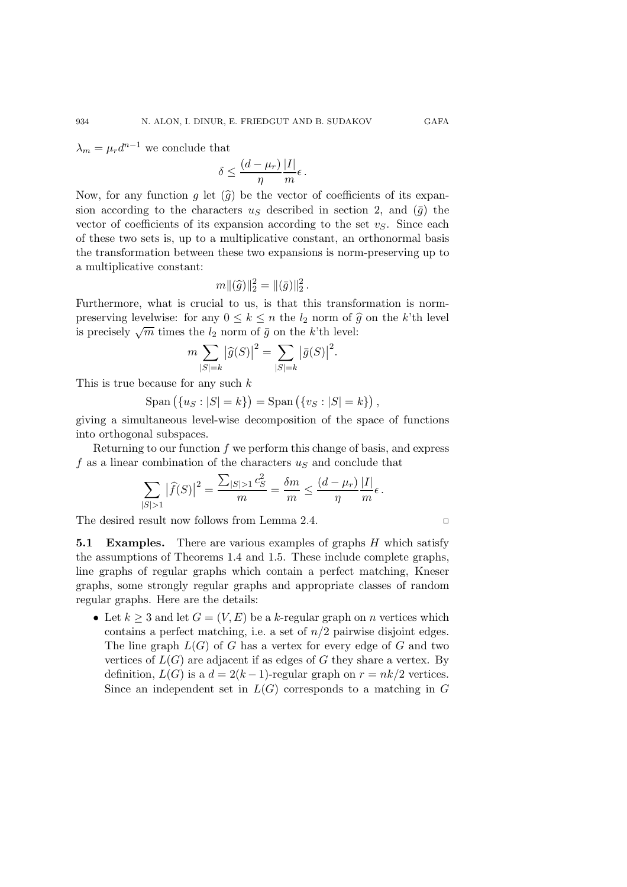$\lambda_m = \mu_r d^{n-1}$  we conclude that

$$
\delta \leq \frac{(d-\mu_r)}{\eta} \frac{|I|}{m} \epsilon.
$$

Now, for any function g let  $(\widehat{g})$  be the vector of coefficients of its expansion according to the characters  $u<sub>S</sub>$  described in section 2, and  $(\bar{g})$  the vector of coefficients of its expansion according to the set  $v<sub>S</sub>$ . Since each of these two sets is, up to a multiplicative constant, an orthonormal basis the transformation between these two expansions is norm-preserving up to a multiplicative constant:

$$
m\|(\widehat{g})\|_2^2 = \|(\bar{g})\|_2^2.
$$

Furthermore, what is crucial to us, is that this transformation is normpreserving levelwise: for any  $0 \leq k \leq n$  the  $l_2$  norm of  $\hat{g}$  on the k'th level is precisely  $\sqrt{m}$  times the  $l_2$  norm of  $\bar{g}$  on the k'th level:

$$
m \sum_{|S|=k} |\widehat{g}(S)|^2 = \sum_{|S|=k} |\bar{g}(S)|^2.
$$

This is true because for any such k

$$
Span ( \{ u_S : |S| = k \} ) = Span ( \{ v_S : |S| = k \} ) ,
$$

giving a simultaneous level-wise decomposition of the space of functions into orthogonal subspaces.

Returning to our function  $f$  we perform this change of basis, and express f as a linear combination of the characters  $u<sub>S</sub>$  and conclude that

$$
\sum_{|S|>1}|\widehat{f}(S)|^2 = \frac{\sum_{|S|>1}c_S^2}{m} = \frac{\delta m}{m} \le \frac{(d-\mu_r)}{\eta} \frac{|I|}{m}\epsilon.
$$

The desired result now follows from Lemma 2.4.  $\Box$ 

**5.1 Examples.** There are various examples of graphs H which satisfy the assumptions of Theorems 1.4 and 1.5. These include complete graphs, line graphs of regular graphs which contain a perfect matching, Kneser graphs, some strongly regular graphs and appropriate classes of random regular graphs. Here are the details:

• Let  $k > 3$  and let  $G = (V, E)$  be a k-regular graph on n vertices which contains a perfect matching, i.e. a set of  $n/2$  pairwise disjoint edges. The line graph  $L(G)$  of G has a vertex for every edge of G and two vertices of  $L(G)$  are adjacent if as edges of G they share a vertex. By definition,  $L(G)$  is a  $d = 2(k-1)$ -regular graph on  $r = nk/2$  vertices. Since an independent set in  $L(G)$  corresponds to a matching in G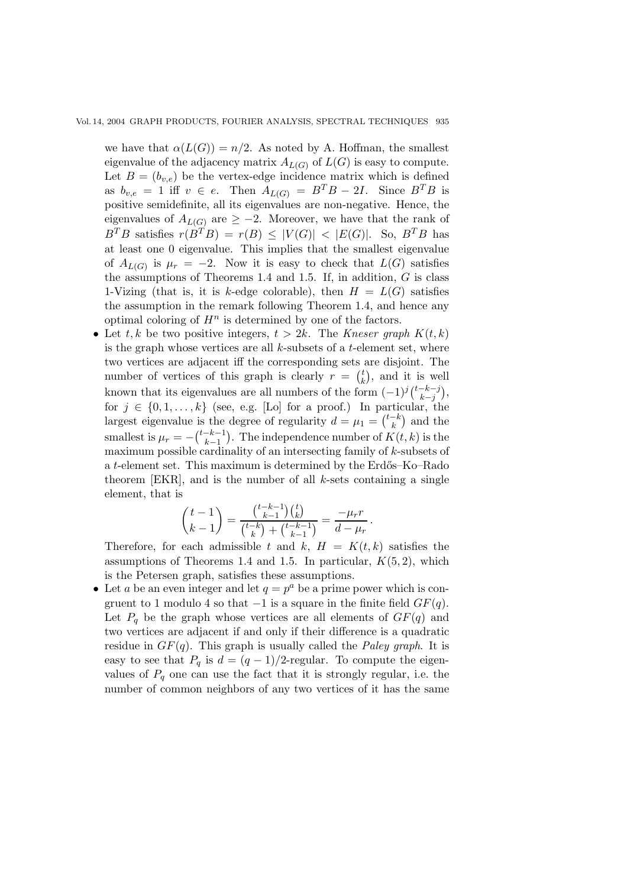we have that  $\alpha(L(G)) = n/2$ . As noted by A. Hoffman, the smallest eigenvalue of the adjacency matrix  $A_{L(G)}$  of  $L(G)$  is easy to compute. Let  $B = (b_{v,e})$  be the vertex-edge incidence matrix which is defined as  $b_{v,e} = 1$  iff  $v \in e$ . Then  $A_{L(G)} = B^{T}B - 2I$ . Since  $B^{T}B$  is positive semidefinite, all its eigenvalues are non-negative. Hence, the eigenvalues of  $A_{L(G)}$  are  $\geq -2$ . Moreover, we have that the rank of  $B^T B$  satisfies  $r(B^T B) = r(B) \leq |V(G)| < |E(G)|$ . So,  $B^T B$  has at least one 0 eigenvalue. This implies that the smallest eigenvalue of  $A_{L(G)}$  is  $\mu_r = -2$ . Now it is easy to check that  $L(G)$  satisfies the assumptions of Theorems 1.4 and 1.5. If, in addition,  $G$  is class 1-Vizing (that is, it is k-edge colorable), then  $H = L(G)$  satisfies the assumption in the remark following Theorem 1.4, and hence any optimal coloring of  $H^n$  is determined by one of the factors.

• Let t, k be two positive integers,  $t > 2k$ . The *Kneser graph*  $K(t, k)$ is the graph whose vertices are all  $k$ -subsets of a  $t$ -element set, where two vertices are adjacent iff the corresponding sets are disjoint. The number of vertices of this graph is clearly  $r = \binom{t}{k}$  $\binom{t}{k}$ , and it is well known that its eigenvalues are all numbers of the form  $(-1)^{j} \binom{t-k-j}{k-j}$  $\binom{k-j}{k-j},$ for  $j \in \{0, 1, \ldots, k\}$  (see, e.g. [Lo] for a proof.) In particular, the largest eigenvalue is the degree of regularity  $d = \mu_1 = \binom{t-k}{k}$  and the smallest is  $\mu_r = -\binom{t-k-1}{k-1}$ . The independence number of  $K(t, k)$  is the maximum possible cardinality of an intersecting family of k-subsets of a  $t$ -element set. This maximum is determined by the Erdős–Ko–Rado theorem [EKR], and is the number of all  $k$ -sets containing a single element, that is

$$
\binom{t-1}{k-1} = \frac{\binom{t-k-1}{k-1}\binom{t}{k}}{\binom{t-k}{k} + \binom{t-k-1}{k-1}} = \frac{-\mu_r r}{d - \mu_r}.
$$

Therefore, for each admissible t and k,  $H = K(t, k)$  satisfies the assumptions of Theorems 1.4 and 1.5. In particular,  $K(5, 2)$ , which is the Petersen graph, satisfies these assumptions.

• Let a be an even integer and let  $q = p^a$  be a prime power which is congruent to 1 modulo 4 so that  $-1$  is a square in the finite field  $GF(q)$ . Let  $P_q$  be the graph whose vertices are all elements of  $GF(q)$  and two vertices are adjacent if and only if their difference is a quadratic residue in  $GF(q)$ . This graph is usually called the *Paley graph*. It is easy to see that  $P_q$  is  $d = (q-1)/2$ -regular. To compute the eigenvalues of  $P_q$  one can use the fact that it is strongly regular, i.e. the number of common neighbors of any two vertices of it has the same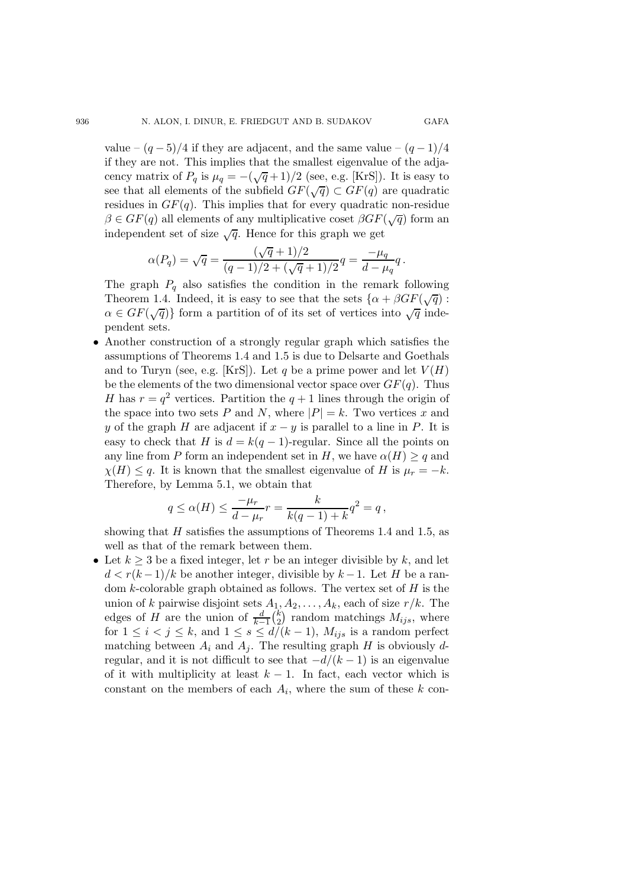value –  $(q-5)/4$  if they are adjacent, and the same value –  $(q-1)/4$ if they are not. This implies that the smallest eigenvalue of the adjacency matrix of  $P_q$  is  $\mu_q = -(\sqrt{q}+1)/2$  (see, e.g. [KrS]). It is easy to see that all elements of the subfield  $GF(\sqrt{q}) \subset GF(q)$  are quadratic residues in  $GF(q)$ . This implies that for every quadratic non-residue  $\beta \in GF(q)$  all elements of any multiplicative coset  $\beta GF(\sqrt{q})$  form an independent set of size  $\sqrt{q}$ . Hence for this graph we get

$$
\alpha(P_q) = \sqrt{q} = \frac{(\sqrt{q}+1)/2}{(q-1)/2 + (\sqrt{q}+1)/2}q = \frac{-\mu_q}{d-\mu_q}q.
$$

The graph  $P_q$  also satisfies the condition in the remark following Theorem 1.4. Indeed, it is easy to see that the sets  $\{\alpha + \beta GF(\sqrt{q})\}$ :  $\alpha \in GF(\sqrt{q})\}$  form a partition of of its set of vertices into  $\sqrt{q}$  independent sets.

• Another construction of a strongly regular graph which satisfies the assumptions of Theorems 1.4 and 1.5 is due to Delsarte and Goethals and to Turyn (see, e.g. [KrS]). Let q be a prime power and let  $V(H)$ be the elements of the two dimensional vector space over  $GF(q)$ . Thus H has  $r = q^2$  vertices. Partition the  $q + 1$  lines through the origin of the space into two sets P and N, where  $|P| = k$ . Two vertices x and y of the graph H are adjacent if  $x - y$  is parallel to a line in P. It is easy to check that H is  $d = k(q-1)$ -regular. Since all the points on any line from P form an independent set in H, we have  $\alpha(H) \geq q$  and  $\chi(H) \leq q$ . It is known that the smallest eigenvalue of H is  $\mu_r = -k$ . Therefore, by Lemma 5.1, we obtain that

$$
q \le \alpha(H) \le \frac{-\mu_r}{d - \mu_r} r = \frac{k}{k(q-1) + k} q^2 = q,
$$

showing that  $H$  satisfies the assumptions of Theorems 1.4 and 1.5, as well as that of the remark between them.

• Let  $k \geq 3$  be a fixed integer, let r be an integer divisible by k, and let  $d < r(k-1)/k$  be another integer, divisible by  $k-1$ . Let H be a random k-colorable graph obtained as follows. The vertex set of  $H$  is the union of k pairwise disjoint sets  $A_1, A_2, \ldots, A_k$ , each of size  $r/k$ . The edges of H are the union of  $\frac{d}{k-1} {k \choose 2}$  random matchings  $M_{ijs}$ , where  $\frac{d}{k-1} {k \choose 2}$  random matchings  $M_{ijs}$ , where<br>  $\leq d/(k-1)$   $M_{i}$  is a random perfect for  $1 \leq i < j \leq k$ , and  $1 \leq s \leq d/(k-1)$ ,  $M_{ijs}$  is a random perfect matching between  $A_i$  and  $A_j$ . The resulting graph H is obviously dregular, and it is not difficult to see that  $-d/(k-1)$  is an eigenvalue of it with multiplicity at least  $k - 1$ . In fact, each vector which is constant on the members of each  $A_i$ , where the sum of these k con-

936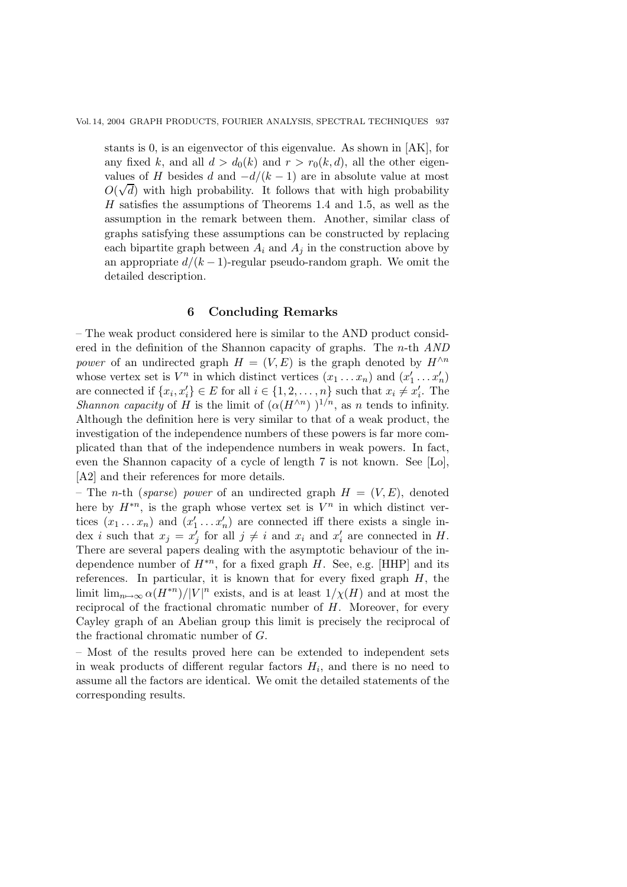stants is 0, is an eigenvector of this eigenvalue. As shown in [AK], for any fixed k, and all  $d>d_0(k)$  and  $r>r_0(k, d)$ , all the other eigenvalues of H besides d and  $-d/(k-1)$  are in absolute value at most  $O(\sqrt{d})$  with high probability. It follows that with high probability  $H$  satisfies the assumptions of Theorems 1.4 and 1.5, as well as the assumption in the remark between them. Another, similar class of graphs satisfying these assumptions can be constructed by replacing each bipartite graph between  $A_i$  and  $A_j$  in the construction above by an appropriate  $d/(k-1)$ -regular pseudo-random graph. We omit the detailed description.

## **6 Concluding Remarks**

– The weak product considered here is similar to the AND product considered in the definition of the Shannon capacity of graphs. The n-th *AND power* of an undirected graph  $H = (V, E)$  is the graph denoted by  $H^{\wedge n}$ whose vertex set is  $V^n$  in which distinct vertices  $(x_1 \dots x_n)$  and  $(x'_1 \dots x'_n)$ <br>are connected if  $f_x, x' \in F$  for all  $i \in I_1$  2 is not such that  $x \neq x'$ . The are connected if  $\{x_i, x'_i\} \in E$  for all  $i \in \{1, 2, \ldots, n\}$  such that  $x_i \neq x'_i$ . The *Shannon capacity* of H is the limit of  $(\alpha(H^{\wedge n}))^{1/n}$ , as n tends to infinity. Although the definition here is very similar to that of a weak product, the investigation of the independence numbers of these powers is far more complicated than that of the independence numbers in weak powers. In fact, even the Shannon capacity of a cycle of length 7 is not known. See [Lo], [A2] and their references for more details.

– The *n*-th (*sparse*) *power* of an undirected graph  $H = (V, E)$ , denoted here by  $H^{*n}$ , is the graph whose vertex set is  $V^n$  in which distinct vertices  $(x_1 \dots x_n)$  and  $(x'_1 \dots x'_n)$  are connected iff there exists a single in-<br>dox *i* such that  $x_i = x'$  for all  $i \neq i$  and  $x_i$  and  $x'$  are connected in H dex *i* such that  $x_j = x'_j$  for all  $j \neq i$  and  $x_i$  and  $x'_i$  are connected in H. There are several papers dealing with the asymptotic behaviour of the independence number of  $H^{*n}$ , for a fixed graph H. See, e.g. [HHP] and its references. In particular, it is known that for every fixed graph  $H$ , the limit  $\lim_{n\to\infty} \alpha(H^{*n})/|V|^n$  exists, and is at least  $1/\chi(H)$  and at most the reciprocal of the fractional chromatic number of  $H$ . Moreover, for every Cayley graph of an Abelian group this limit is precisely the reciprocal of the fractional chromatic number of G.

– Most of the results proved here can be extended to independent sets in weak products of different regular factors  $H_i$ , and there is no need to assume all the factors are identical. We omit the detailed statements of the corresponding results.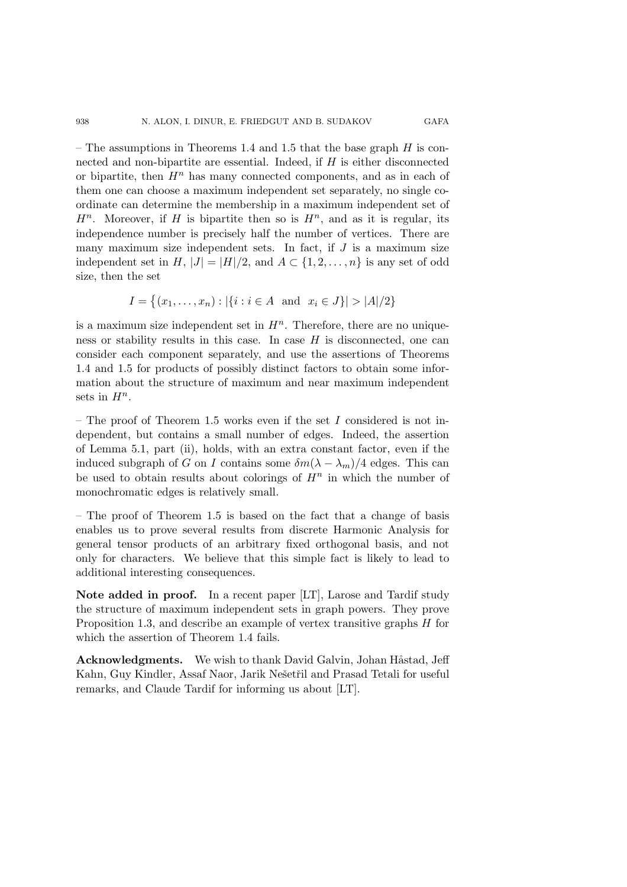– The assumptions in Theorems 1.4 and 1.5 that the base graph  $H$  is connected and non-bipartite are essential. Indeed, if H is either disconnected or bipartite, then  $H^n$  has many connected components, and as in each of them one can choose a maximum independent set separately, no single coordinate can determine the membership in a maximum independent set of  $H<sup>n</sup>$ . Moreover, if H is bipartite then so is  $H<sup>n</sup>$ , and as it is regular, its independence number is precisely half the number of vertices. There are many maximum size independent sets. In fact, if  $J$  is a maximum size independent set in H,  $|J| = |H|/2$ , and  $A \subset \{1, 2, ..., n\}$  is any set of odd size, then the set

$$
I = \{(x_1, \dots, x_n) : |\{i : i \in A \text{ and } x_i \in J\}| > |A|/2\}
$$

is a maximum size independent set in  $H<sup>n</sup>$ . Therefore, there are no uniqueness or stability results in this case. In case  $H$  is disconnected, one can consider each component separately, and use the assertions of Theorems 1.4 and 1.5 for products of possibly distinct factors to obtain some information about the structure of maximum and near maximum independent sets in  $H^n$ .

– The proof of Theorem 1.5 works even if the set  $I$  considered is not independent, but contains a small number of edges. Indeed, the assertion of Lemma 5.1, part (ii), holds, with an extra constant factor, even if the induced subgraph of G on I contains some  $\delta m(\lambda - \lambda_m)/4$  edges. This can be used to obtain results about colorings of  $H^n$  in which the number of monochromatic edges is relatively small.

– The proof of Theorem 1.5 is based on the fact that a change of basis enables us to prove several results from discrete Harmonic Analysis for general tensor products of an arbitrary fixed orthogonal basis, and not only for characters. We believe that this simple fact is likely to lead to additional interesting consequences.

**Note added in proof.** In a recent paper [LT], Larose and Tardif study the structure of maximum independent sets in graph powers. They prove Proposition 1.3, and describe an example of vertex transitive graphs H for which the assertion of Theorem 1.4 fails.

**Acknowledgments.** We wish to thank David Galvin, Johan Håstad, Jeff Kahn, Guy Kindler, Assaf Naor, Jarik Nešetřil and Prasad Tetali for useful remarks, and Claude Tardif for informing us about [LT].

938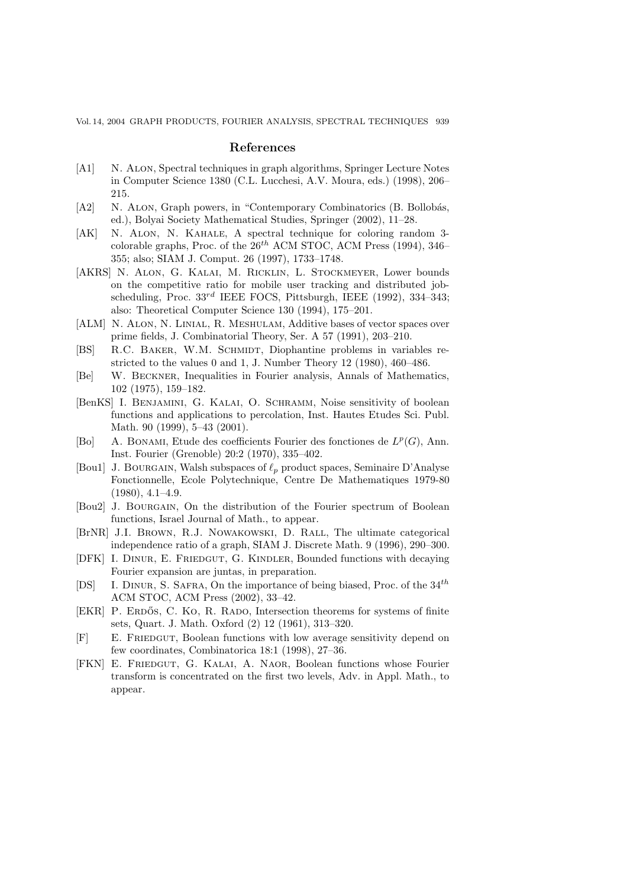#### **References**

- [A1] N. Alon, Spectral techniques in graph algorithms, Springer Lecture Notes in Computer Science 1380 (C.L. Lucchesi, A.V. Moura, eds.) (1998), 206– 215.
- [A2] N. ALON, Graph powers, in "Contemporary Combinatorics (B. Bollobás, ed.), Bolyai Society Mathematical Studies, Springer (2002), 11–28.
- [AK] N. Alon, N. Kahale, A spectral technique for coloring random 3 colorable graphs, Proc. of the 26*th* ACM STOC, ACM Press (1994), 346– 355; also; SIAM J. Comput. 26 (1997), 1733–1748.
- [AKRS] N. Alon, G. Kalai, M. Ricklin, L. Stockmeyer, Lower bounds on the competitive ratio for mobile user tracking and distributed jobscheduling, Proc. 33*rd* IEEE FOCS, Pittsburgh, IEEE (1992), 334–343; also: Theoretical Computer Science 130 (1994), 175–201.
- [ALM] N. Alon, N. Linial, R. Meshulam, Additive bases of vector spaces over prime fields, J. Combinatorial Theory, Ser. A 57 (1991), 203–210.
- [BS] R.C. BAKER, W.M. SCHMIDT, Diophantine problems in variables restricted to the values 0 and 1, J. Number Theory 12 (1980), 460–486.
- [Be] W. Beckner, Inequalities in Fourier analysis, Annals of Mathematics, 102 (1975), 159–182.
- [BenKS] I. Benjamini, G. Kalai, O. Schramm, Noise sensitivity of boolean functions and applications to percolation, Inst. Hautes Etudes Sci. Publ. Math. 90 (1999), 5–43 (2001).
- [Bo] A. Bonami, Etude des coefficients Fourier des fonctiones de L*<sup>p</sup>*(G), Ann. Inst. Fourier (Grenoble) 20:2 (1970), 335–402.
- [Bou1] J. BOURGAIN, Walsh subspaces of  $\ell_p$  product spaces, Seminaire D'Analyse Fonctionnelle, Ecole Polytechnique, Centre De Mathematiques 1979-80  $(1980), 4.1 - 4.9.$
- [Bou2] J. BOURGAIN, On the distribution of the Fourier spectrum of Boolean functions, Israel Journal of Math., to appear.
- [BrNR] J.I. BROWN, R.J. NOWAKOWSKI, D. RALL, The ultimate categorical independence ratio of a graph, SIAM J. Discrete Math. 9 (1996), 290–300.
- [DFK] I. DINUR, E. FRIEDGUT, G. KINDLER, Bounded functions with decaying Fourier expansion are juntas, in preparation.
- [DS] I. Dinur, S. Safra, On the importance of being biased, Proc. of the 34*th* ACM STOC, ACM Press (2002), 33–42.
- [EKR] P. ERDŐS, C. KO, R. RADO, Intersection theorems for systems of finite sets, Quart. J. Math. Oxford (2) 12 (1961), 313–320.
- [F] E. Friedgut, Boolean functions with low average sensitivity depend on few coordinates, Combinatorica 18:1 (1998), 27–36.
- [FKN] E. Friedgut, G. Kalai, A. Naor, Boolean functions whose Fourier transform is concentrated on the first two levels, Adv. in Appl. Math., to appear.